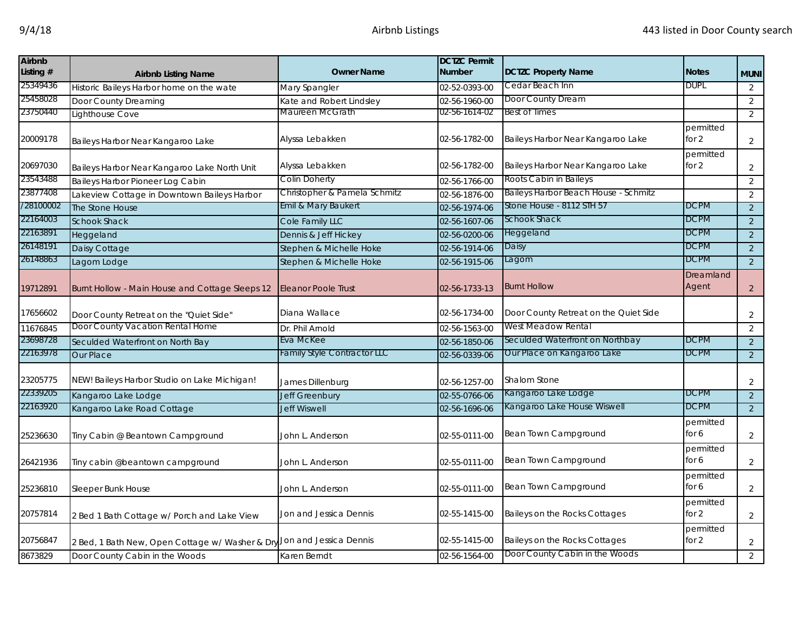| <b>Airbnb</b><br>Listing # | <b>Airbnb Listing Name</b>                      | <b>Owner Name</b>                  | <b>DCTZC Permit</b><br><b>Number</b> | <b>DCTZC Property Name</b>            | <b>Notes</b>         | <b>MUNI</b>    |
|----------------------------|-------------------------------------------------|------------------------------------|--------------------------------------|---------------------------------------|----------------------|----------------|
| 25349436                   | Historic Baileys Harbor home on the wate        | Mary Spangler                      | 02-52-0393-00                        | Cedar Beach Inn                       | <b>DUPL</b>          | $\overline{2}$ |
| 25458028                   | Door County Dreaming                            | Kate and Robert Lindsley           | 02-56-1960-00                        | Door County Dream                     |                      | $\overline{2}$ |
| 23750440                   | Lighthouse Cove                                 | Maureen McGrath                    | 02-56-1614-02                        | <b>Best of Times</b>                  |                      | $\overline{2}$ |
| 20009178                   | Baileys Harbor Near Kangaroo Lake               | Alyssa Lebakken                    | 02-56-1782-00                        | Baileys Harbor Near Kangaroo Lake     | permitted<br>for $2$ | $\overline{a}$ |
| 20697030                   | Baileys Harbor Near Kangaroo Lake North Unit    | Alyssa Lebakken                    | 02-56-1782-00                        | Baileys Harbor Near Kangaroo Lake     | permitted<br>for 2   | $\overline{2}$ |
| 23543488                   | Baileys Harbor Pioneer Log Cabin                | Colin Doherty                      | 02-56-1766-00                        | Roots Cabin in Baileys                |                      | $\overline{2}$ |
| 23877408                   | Lakeview Cottage in Downtown Baileys Harbor     | Christopher & Pamela Schmitz       | 02-56-1876-00                        | Baileys Harbor Beach House - Schmitz  |                      | $\overline{2}$ |
| /28100002                  | The Stone House                                 | Emil & Mary Baukert                | 02-56-1974-06                        | Stone House - 8112 STH 57             | <b>DCPM</b>          | $\overline{2}$ |
| 22164003                   | <b>Schook Shack</b>                             | Cole Family LLC                    | 02-56-1607-06                        | Schook Shack                          | <b>DCPM</b>          | $\overline{2}$ |
| 22163891                   | Heggeland                                       | Dennis & Jeff Hickey               | 02-56-0200-06                        | Heggeland                             | <b>DCPM</b>          | $\overline{2}$ |
| 26148191                   | Daisy Cottage                                   | Stephen & Michelle Hoke            | 02-56-1914-06                        | Daisy                                 | <b>DCPM</b>          | $\overline{2}$ |
| 26148863                   | Lagom Lodge                                     | Stephen & Michelle Hoke            | 02-56-1915-06                        | Lagom                                 | <b>DCPM</b>          | $\overline{2}$ |
| 19712891                   | Burnt Hollow - Main House and Cottage Sleeps 12 | <b>Eleanor Poole Trust</b>         | 02-56-1733-13                        | <b>Burnt Hollow</b>                   | Dreamland<br>Agent   | $\overline{2}$ |
| 17656602                   | Door County Retreat on the "Quiet Side"         | Diana Wallace                      | 02-56-1734-00                        | Door County Retreat on the Quiet Side |                      | $\overline{2}$ |
| 11676845                   | Door County Vacation Rental Home                | Dr. Phil Arnold                    | 02-56-1563-00                        | West Meadow Rental                    |                      | 2              |
| 23698728                   | Seculded Waterfront on North Bay                | Eva McKee                          | 02-56-1850-06                        | Seculded Waterfront on Northbay       | DCPM                 | $\overline{2}$ |
| 22163978                   | <b>Our Place</b>                                | <b>Family Style Contractor LLC</b> | 02-56-0339-06                        | Our Place on Kangaroo Lake            | DCPM                 | $\overline{2}$ |
| 23205775                   | NEW! Baileys Harbor Studio on Lake Michigan!    | James Dillenburg                   | 02-56-1257-00                        | Shalom Stone                          |                      | $\overline{a}$ |
| 22339205                   | Kangaroo Lake Lodge                             | <b>Jeff Greenbury</b>              | 02-55-0766-06                        | Kangaroo Lake Lodge                   | <b>DCPM</b>          | $\overline{2}$ |
| 22163920                   | Kangaroo Lake Road Cottage                      | <b>Jeff Wiswell</b>                | 02-56-1696-06                        | Kangaroo Lake House Wiswell           | DCPM                 | $\overline{2}$ |
| 25236630                   | Tiny Cabin @ Beantown Campground                | John L. Anderson                   | 02-55-0111-00                        | Bean Town Campground                  | permitted<br>for 6   | $\overline{2}$ |
| 26421936                   | Tiny cabin @beantown campground                 | John L. Anderson                   | 02-55-0111-00                        | Bean Town Campground                  | permitted<br>for $6$ | $\overline{a}$ |
| 25236810                   | Sleeper Bunk House                              | John L. Anderson                   | 02-55-0111-00                        | Bean Town Campground                  | permitted<br>for 6   | $\overline{a}$ |
| 20757814                   | 2 Bed 1 Bath Cottage w/ Porch and Lake View     | Jon and Jessica Dennis             | 02-55-1415-00                        | Baileys on the Rocks Cottages         | permitted<br>for 2   | $\overline{2}$ |
| 20756847                   | 2 Bed, 1 Bath New, Open Cottage w/ Washer & Dry | Jon and Jessica Dennis             | 02-55-1415-00                        | Baileys on the Rocks Cottages         | permitted<br>for 2   | $\overline{a}$ |
| 8673829                    | Door County Cabin in the Woods                  | Karen Berndt                       | 02-56-1564-00                        | Door County Cabin in the Woods        |                      | $\overline{2}$ |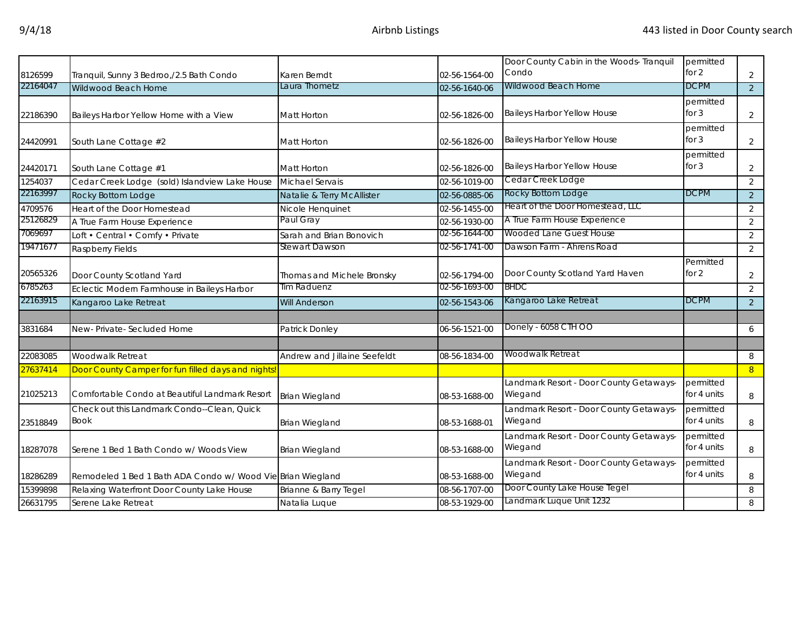|          |                                                             |                              |               | Door County Cabin in the Woods- Tranquil | permitted   |                |
|----------|-------------------------------------------------------------|------------------------------|---------------|------------------------------------------|-------------|----------------|
| 8126599  | Tranquil, Sunny 3 Bedroo,/2.5 Bath Condo                    | Karen Berndt                 | 02-56-1564-00 | Condo                                    | for $2$     | $\overline{2}$ |
| 22164047 | Wildwood Beach Home                                         | Laura Thometz                | 02-56-1640-06 | Wildwood Beach Home                      | <b>DCPM</b> | $\overline{2}$ |
|          |                                                             |                              |               |                                          | permitted   |                |
| 22186390 | Baileys Harbor Yellow Home with a View                      | <b>Matt Horton</b>           | 02-56-1826-00 | <b>Baileys Harbor Yellow House</b>       | for $3$     | $\overline{2}$ |
|          |                                                             |                              |               |                                          | permitted   |                |
| 24420991 | South Lane Cottage #2                                       | <b>Matt Horton</b>           | 02-56-1826-00 | <b>Baileys Harbor Yellow House</b>       | for $3$     | $\overline{a}$ |
|          |                                                             |                              |               |                                          | permitted   |                |
| 24420171 | South Lane Cottage #1                                       | Matt Horton                  | 02-56-1826-00 | Baileys Harbor Yellow House              | for $3$     | $\overline{a}$ |
| 1254037  | Cedar Creek Lodge (sold) Islandview Lake House              | Michael Servais              | 02-56-1019-00 | Cedar Creek Lodge                        |             | $\overline{2}$ |
| 22163997 | Rocky Bottom Lodge                                          | Natalie & Terry McAllister   | 02-56-0885-06 | Rocky Bottom Lodge                       | <b>DCPM</b> | $\overline{2}$ |
| 4709576  | Heart of the Door Homestead                                 | Nicole Henquinet             | 02-56-1455-00 | Heart of the Door Homestead, LLC         |             | $\overline{2}$ |
| 25126829 | A True Farm House Experience                                | Paul Gray                    | 02-56-1930-00 | A True Farm House Experience             |             | $\overline{2}$ |
| 7069697  | Loft • Central • Comfy • Private                            | Sarah and Brian Bonovich     | 02-56-1644-00 | Wooded Lane Guest House                  |             | $\overline{2}$ |
| 19471677 | Raspberry Fields                                            | Stewart Dawson               | 02-56-1741-00 | Dawson Farm - Ahrens Road                |             | $\overline{2}$ |
|          |                                                             |                              |               |                                          | Permitted   |                |
| 20565326 | Door County Scotland Yard                                   | Thomas and Michele Bronsky   | 02-56-1794-00 | Door County Scotland Yard Haven          | for 2       | $\overline{a}$ |
| 6785263  | Eclectic Modern Farmhouse in Baileys Harbor                 | Tim Raduenz                  | 02-56-1693-00 | <b>BHDC</b>                              |             | $\overline{2}$ |
| 22163915 | Kangaroo Lake Retreat                                       | <b>Will Anderson</b>         | 02-56-1543-06 | Kangaroo Lake Retreat                    | <b>DCPM</b> | $\overline{2}$ |
|          |                                                             |                              |               |                                          |             |                |
| 3831684  | New-Private-Secluded Home                                   | Patrick Donley               | 06-56-1521-00 | Donely - 6058 CTH OO                     |             | 6              |
|          |                                                             |                              |               |                                          |             |                |
| 22083085 | Woodwalk Retreat                                            | Andrew and Jillaine Seefeldt | 08-56-1834-00 | Woodwalk Retreat                         |             | 8              |
| 27637414 | Door County Camper for fun filled days and nights!          |                              |               |                                          |             | 8 <sup>°</sup> |
|          |                                                             |                              |               | Landmark Resort - Door County Getaways-  | permitted   |                |
| 21025213 | Comfortable Condo at Beautiful Landmark Resort              | <b>Brian Wiegland</b>        | 08-53-1688-00 | Wiegand                                  | for 4 units | 8              |
|          | Check out this Landmark Condo--Clean, Quick                 |                              |               | Landmark Resort - Door County Getaways-  | permitted   |                |
| 23518849 | <b>Book</b>                                                 | <b>Brian Wiegland</b>        | 08-53-1688-01 | Wiegand                                  | for 4 units | 8              |
|          |                                                             |                              |               | Landmark Resort - Door County Getaways-  | permitted   |                |
| 18287078 | Serene 1 Bed 1 Bath Condo w/ Woods View                     | <b>Brian Wiegland</b>        | 08-53-1688-00 | Wiegand                                  | for 4 units | 8              |
|          |                                                             |                              |               | Landmark Resort - Door County Getaways-  | permitted   |                |
| 18286289 | Remodeled 1 Bed 1 Bath ADA Condo w/ Wood Vie Brian Wiegland |                              | 08-53-1688-00 | Wiegand                                  | for 4 units | 8              |
| 15399898 | Relaxing Waterfront Door County Lake House                  | Brianne & Barry Tegel        | 08-56-1707-00 | Door County Lake House Tegel             |             | 8              |
| 26631795 | Serene Lake Retreat                                         | Natalia Luque                | 08-53-1929-00 | Landmark Luque Unit 1232                 |             | 8              |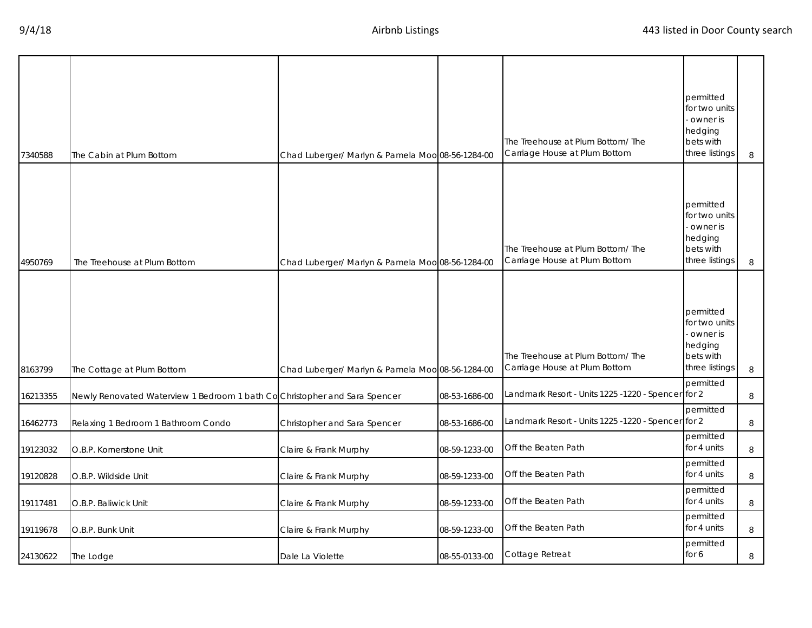| 7340588  | The Cabin at Plum Bottom                                                   | Chad Luberger/ Marlyn & Pamela Moo 08-56-1284-00 |               | The Treehouse at Plum Bottom/ The<br>Carriage House at Plum Bottom | permitted<br>for two units<br>- owner is<br>hedging<br>bets with<br>three listings | 8 |
|----------|----------------------------------------------------------------------------|--------------------------------------------------|---------------|--------------------------------------------------------------------|------------------------------------------------------------------------------------|---|
| 4950769  | The Treehouse at Plum Bottom                                               | Chad Luberger/ Marlyn & Pamela Moo 08-56-1284-00 |               | The Treehouse at Plum Bottom/ The<br>Carriage House at Plum Bottom | permitted<br>for two units<br>owner is<br>hedging<br>bets with<br>three listings   | 8 |
| 8163799  | The Cottage at Plum Bottom                                                 | Chad Luberger/ Marlyn & Pamela Moo 08-56-1284-00 |               | The Treehouse at Plum Bottom/The<br>Carriage House at Plum Bottom  | permitted<br>for two units<br>owner is<br>hedging<br>bets with<br>three listings   | 8 |
| 16213355 | Newly Renovated Waterview 1 Bedroom 1 bath Co Christopher and Sara Spencer |                                                  | 08-53-1686-00 | Landmark Resort - Units 1225 -1220 - Spencer for 2                 | permitted                                                                          | 8 |
| 16462773 | Relaxing 1 Bedroom 1 Bathroom Condo                                        | Christopher and Sara Spencer                     | 08-53-1686-00 | Landmark Resort - Units 1225 -1220 - Spencer for 2                 | permitted                                                                          | 8 |
| 19123032 | O.B.P. Kornerstone Unit                                                    | Claire & Frank Murphy                            | 08-59-1233-00 | Off the Beaten Path                                                | permitted<br>for 4 units                                                           | 8 |
| 19120828 | O.B.P. Wildside Unit                                                       | Claire & Frank Murphy                            | 08-59-1233-00 | Off the Beaten Path                                                | permitted<br>for 4 units                                                           | 8 |
| 19117481 | O.B.P. Baliwick Unit                                                       | Claire & Frank Murphy                            | 08-59-1233-00 | Off the Beaten Path                                                | permitted<br>for 4 units                                                           | 8 |
| 19119678 | O.B.P. Bunk Unit                                                           | Claire & Frank Murphy                            | 08-59-1233-00 | Off the Beaten Path                                                | permitted<br>for 4 units                                                           | 8 |
| 24130622 | The Lodge                                                                  | Dale La Violette                                 | 08-55-0133-00 | Cottage Retreat                                                    | permitted<br>for 6                                                                 | 8 |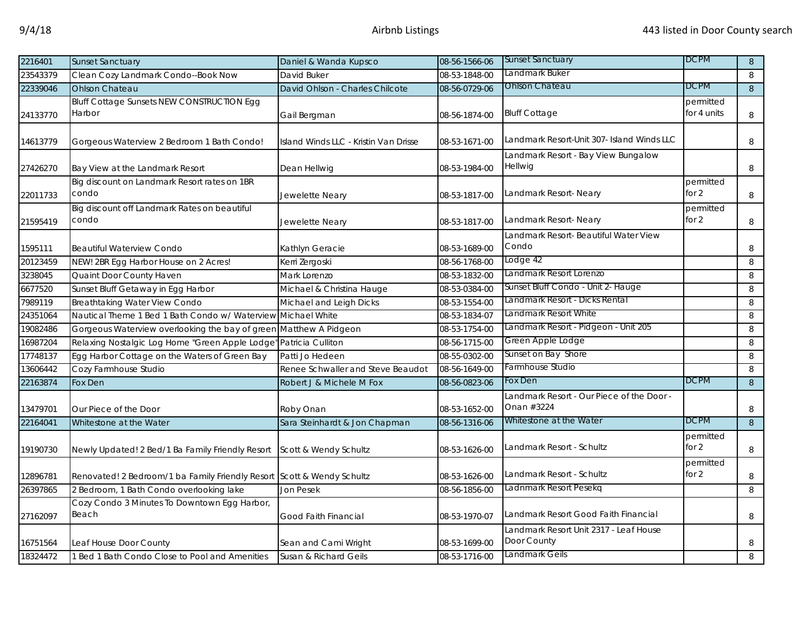| 2216401  | <b>Sunset Sanctuary</b>                                                | Daniel & Wanda Kupsco                 | 08-56-1566-06 | <b>Sunset Sanctuary</b>                                | <b>DCPM</b>              | 8              |
|----------|------------------------------------------------------------------------|---------------------------------------|---------------|--------------------------------------------------------|--------------------------|----------------|
| 23543379 | Clean Cozy Landmark Condo--Book Now                                    | David Buker                           | 08-53-1848-00 | Landmark Buker                                         |                          | 8              |
| 22339046 | Ohlson Chateau                                                         | David Ohlson - Charles Chilcote       | 08-56-0729-06 | <b>Ohlson Chateau</b>                                  | <b>DCPM</b>              | 8              |
| 24133770 | <b>Bluff Cottage Sunsets NEW CONSTRUCTION Egg</b><br>Harbor            | Gail Bergman                          | 08-56-1874-00 | <b>Bluff Cottage</b>                                   | permitted<br>for 4 units | 8              |
| 14613779 | Gorgeous Waterview 2 Bedroom 1 Bath Condo!                             | Island Winds LLC - Kristin Van Drisse | 08-53-1671-00 | Landmark Resort-Unit 307- Island Winds LLC             |                          | 8              |
| 27426270 | Bay View at the Landmark Resort                                        | Dean Hellwig                          | 08-53-1984-00 | Landmark Resort - Bay View Bungalow<br>Hellwig         |                          | 8              |
| 22011733 | Big discount on Landmark Resort rates on 1BR<br>condo                  | Jewelette Neary                       | 08-53-1817-00 | Landmark Resort-Neary                                  | permitted<br>for 2       | 8              |
| 21595419 | Big discount off Landmark Rates on beautiful<br>condo                  | Jewelette Neary                       | 08-53-1817-00 | Landmark Resort-Neary                                  | permitted<br>for $2$     | 8              |
| 1595111  | <b>Beautiful Waterview Condo</b>                                       | Kathlyn Geracie                       | 08-53-1689-00 | Landmark Resort- Beautiful Water View<br>Condo         |                          | 8              |
| 20123459 | NEW! 2BR Egg Harbor House on 2 Acres!                                  | Kerri Zergoski                        | 08-56-1768-00 | Lodge 42                                               |                          | 8              |
| 3238045  | Quaint Door County Haven                                               | Mark Lorenzo                          | 08-53-1832-00 | Landmark Resort Lorenzo                                |                          | 8              |
| 6677520  | Sunset Bluff Getaway in Egg Harbor                                     | Michael & Christina Hauge             | 08-53-0384-00 | Sunset Bluff Condo - Unit 2- Hauge                     |                          | 8              |
| 7989119  | <b>Breathtaking Water View Condo</b>                                   | Michael and Leigh Dicks               | 08-53-1554-00 | Landmark Resort - Dicks Rental                         |                          | 8              |
| 24351064 | Nautical Theme 1 Bed 1 Bath Condo w/ Waterview Michael White           |                                       | 08-53-1834-07 | Landmark Resort White                                  |                          | 8              |
| 19082486 | Gorgeous Waterview overlooking the bay of green Matthew A Pidgeon      |                                       | 08-53-1754-00 | Landmark Resort - Pidgeon - Unit 205                   |                          | 8              |
| 16987204 | Relaxing Nostalgic Log Home "Green Apple Lodge"                        | Patricia Culliton                     | 08-56-1715-00 | Green Apple Lodge                                      |                          | 8              |
| 17748137 | Egg Harbor Cottage on the Waters of Green Bay                          | Patti Jo Hedeen                       | 08-55-0302-00 | Sunset on Bay Shore                                    |                          | 8              |
| 13606442 | Cozy Farmhouse Studio                                                  | Renee Schwaller and Steve Beaudot     | 08-56-1649-00 | armhouse Studio                                        |                          | 8              |
| 22163874 | Fox Den                                                                | Robert J & Michele M Fox              | 08-56-0823-06 | Fox Den                                                | <b>DCPM</b>              | 8              |
| 13479701 | Our Piece of the Door                                                  | Roby Onan                             | 08-53-1652-00 | -andmark Resort - Our Piece of the Door.<br>Onan #3224 |                          | 8              |
| 22164041 | Whitestone at the Water                                                | Sara Steinhardt & Jon Chapman         | 08-56-1316-06 | Whitestone at the Water                                | <b>DCPM</b>              | $8\phantom{1}$ |
| 19190730 | Newly Updated! 2 Bed/1 Ba Family Friendly Resort                       | Scott & Wendy Schultz                 | 08-53-1626-00 | Landmark Resort - Schultz                              | permitted<br>for $2$     | 8              |
| 12896781 | Renovated! 2 Bedroom/1 ba Family Friendly Resort Scott & Wendy Schultz |                                       | 08-53-1626-00 | Landmark Resort - Schultz                              | permitted<br>for $2$     | 8              |
| 26397865 | 2 Bedroom, 1 Bath Condo overlooking lake                               | Jon Pesek                             | 08-56-1856-00 | Ladnmark Resort Pesekq                                 |                          | 8              |
| 27162097 | Cozy Condo 3 Minutes To Downtown Egg Harbor,<br>Beach                  | Good Faith Financial                  | 08-53-1970-07 | Landmark Resort Good Faith Financial                   |                          | 8              |
| 16751564 | Leaf House Door County                                                 | Sean and Cami Wright                  | 08-53-1699-00 | Landmark Resort Unit 2317 - Leaf House<br>Door County  |                          | 8              |
| 18324472 | 1 Bed 1 Bath Condo Close to Pool and Amenities                         | Susan & Richard Geils                 | 08-53-1716-00 | Landmark Geils                                         |                          | 8              |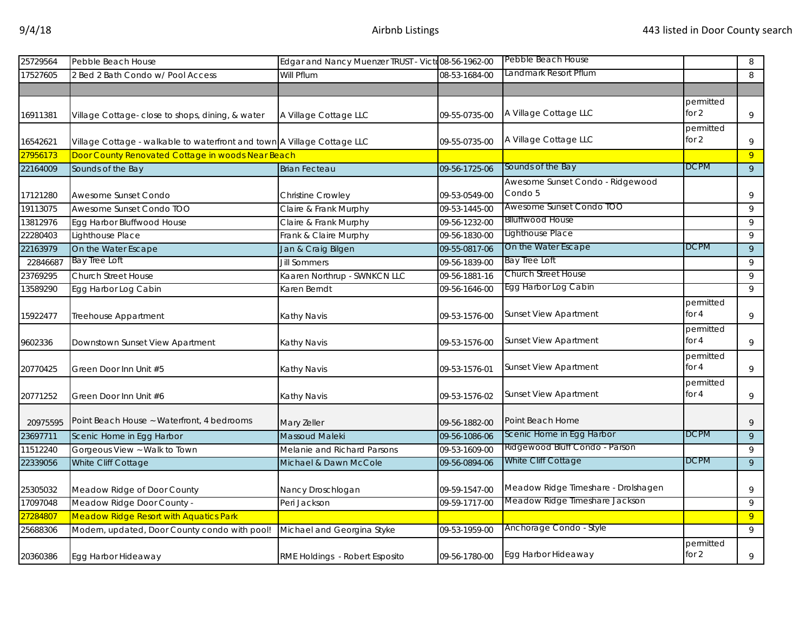| 25729564 | Pebble Beach House                                                      | Edgar and Nancy Muenzer TRUST - Victo08-56-1962-00 |               | Pebble Beach House                          |                      | 8              |
|----------|-------------------------------------------------------------------------|----------------------------------------------------|---------------|---------------------------------------------|----------------------|----------------|
| 17527605 | 2 Bed 2 Bath Condo w/ Pool Access                                       | Will Pflum                                         | 08-53-1684-00 | andmark Resort Pflum                        |                      | 8              |
|          |                                                                         |                                                    |               |                                             |                      |                |
| 16911381 | Village Cottage-close to shops, dining, & water                         | A Village Cottage LLC                              | 09-55-0735-00 | A Village Cottage LLC                       | permitted<br>for $2$ | 9              |
| 16542621 | Village Cottage - walkable to waterfront and town A Village Cottage LLC |                                                    | 09-55-0735-00 | A Village Cottage LLC                       | permitted<br>for $2$ | 9              |
| 27956173 | Door County Renovated Cottage in woods Near Beach                       |                                                    |               |                                             |                      | $\overline{9}$ |
| 22164009 | Sounds of the Bay                                                       | <b>Brian Fecteau</b>                               | 09-56-1725-06 | Sounds of the Bay                           | <b>DCPM</b>          | 9              |
| 17121280 | Awesome Sunset Condo                                                    | <b>Christine Crowley</b>                           | 09-53-0549-00 | Awesome Sunset Condo - Ridgewood<br>Condo 5 |                      | 9              |
| 19113075 | Awesome Sunset Condo TOO                                                | Claire & Frank Murphy                              | 09-53-1445-00 | Awesome Sunset Condo TOO                    |                      | 9              |
| 13812976 | Egg Harbor Bluffwood House                                              | Claire & Frank Murphy                              | 09-56-1232-00 | <b>Blluffwood House</b>                     |                      | 9              |
| 22280403 | Lighthouse Place                                                        | Frank & Claire Murphy                              | 09-56-1830-00 | Lighthouse Place                            |                      | 9              |
| 22163979 | On the Water Escape                                                     | Jan & Craig Bilgen                                 | 09-55-0817-06 | On the Water Escape                         | <b>DCPM</b>          | $\overline{9}$ |
| 22846687 | <b>Bay Tree Loft</b>                                                    | <b>Jill Sommers</b>                                | 09-56-1839-00 | Bay Tree Loft                               |                      | 9              |
| 23769295 | <b>Church Street House</b>                                              | Kaaren Northrup - SWNKCN LLC                       | 09-56-1881-16 | Church Street House                         |                      | 9              |
| 13589290 | Egg Harbor Log Cabin                                                    | Karen Berndt                                       | 09-56-1646-00 | Egg Harbor Log Cabin                        |                      | 9              |
| 15922477 | Treehouse Appartment                                                    | Kathy Navis                                        | 09-53-1576-00 | <b>Sunset View Apartment</b>                | permitted<br>for $4$ | 9              |
| 9602336  | Downstown Sunset View Apartment                                         | Kathy Navis                                        | 09-53-1576-00 | <b>Sunset View Apartment</b>                | permitted<br>for 4   | 9              |
| 20770425 | Green Door Inn Unit #5                                                  | Kathy Navis                                        | 09-53-1576-01 | <b>Sunset View Apartment</b>                | permitted<br>for 4   | $\,9$          |
| 20771252 | Green Door Inn Unit #6                                                  | Kathy Navis                                        | 09-53-1576-02 | <b>Sunset View Apartment</b>                | permitted<br>for 4   | 9              |
| 20975595 | Point Beach House ~ Waterfront, 4 bedrooms                              | Mary Zeller                                        | 09-56-1882-00 | Point Beach Home                            |                      | 9              |
| 23697711 | Scenic Home in Egg Harbor                                               | Massoud Maleki                                     | 09-56-1086-06 | Scenic Home in Egg Harbor                   | <b>DCPM</b>          | $\overline{9}$ |
| 11512240 | Gorgeous View ~ Walk to Town                                            | Melanie and Richard Parsons                        | 09-53-1609-00 | Ridgewood Bluff Condo - Parson              |                      | 9              |
| 22339056 | White Cliff Cottage                                                     | Michael & Dawn McCole                              | 09-56-0894-06 | White Cliff Cottage                         | <b>DCPM</b>          | $\mathsf{q}$   |
| 25305032 | Meadow Ridge of Door County                                             | Nancy Droschlogan                                  | 09-59-1547-00 | Meadow Ridge Timeshare - Drolshagen         |                      | 9              |
| 17097048 | Meadow Ridge Door County -                                              | Peri Jackson                                       | 09-59-1717-00 | Meadow Ridge Timeshare Jackson              |                      | 9              |
| 27284807 | <b>Meadow Ridge Resort with Aquatics Park</b>                           |                                                    |               |                                             |                      | 9              |
| 25688306 | Modern, updated, Door County condo with pool!                           | Michael and Georgina Styke                         | 09-53-1959-00 | Anchorage Condo - Style                     |                      | 9              |
| 20360386 | Egg Harbor Hideaway                                                     | RME Holdings - Robert Esposito                     | 09-56-1780-00 | Egg Harbor Hideaway                         | permitted<br>for 2   | 9              |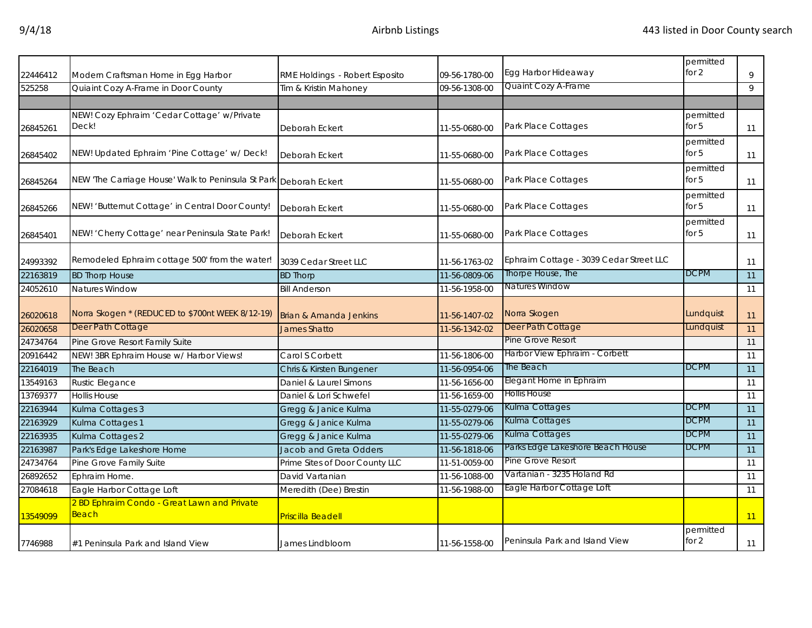| 22446412 | Modern Craftsman Home in Egg Harbor                               | RME Holdings - Robert Esposito | 09-56-1780-00 | Egg Harbor Hideaway                     | permitted<br>for 2   | 9  |
|----------|-------------------------------------------------------------------|--------------------------------|---------------|-----------------------------------------|----------------------|----|
| 525258   | Quiaint Cozy A-Frame in Door County                               | Tim & Kristin Mahoney          | 09-56-1308-00 | Quaint Cozy A-Frame                     |                      | 9  |
|          |                                                                   |                                |               |                                         |                      |    |
| 26845261 | NEW! Cozy Ephraim 'Cedar Cottage' w/Private<br>Deck!              | Deborah Eckert                 | 11-55-0680-00 | Park Place Cottages                     | permitted<br>for $5$ | 11 |
| 26845402 | NEW! Updated Ephraim 'Pine Cottage' w/ Deck!                      | Deborah Eckert                 | 11-55-0680-00 | Park Place Cottages                     | permitted<br>for $5$ | 11 |
| 26845264 | NEW 'The Carriage House' Walk to Peninsula St Park Deborah Eckert |                                | 11-55-0680-00 | Park Place Cottages                     | permitted<br>for $5$ | 11 |
| 26845266 | NEW! 'Butternut Cottage' in Central Door County!                  | Deborah Eckert                 | 11-55-0680-00 | Park Place Cottages                     | permitted<br>for $5$ | 11 |
| 26845401 | NEW! 'Cherry Cottage' near Peninsula State Park!                  | Deborah Eckert                 | 11-55-0680-00 | Park Place Cottages                     | permitted<br>for $5$ | 11 |
| 24993392 | Remodeled Ephraim cottage 500' from the water!                    | 3039 Cedar Street LLC          | 11-56-1763-02 | Ephraim Cottage - 3039 Cedar Street LLC |                      | 11 |
| 22163819 | <b>BD Thorp House</b>                                             | <b>BD Thorp</b>                | 11-56-0809-06 | Thorpe House, The                       | <b>DCPM</b>          | 11 |
| 24052610 | Natures Window                                                    | <b>Bill Anderson</b>           | 11-56-1958-00 | <b>Natures Window</b>                   |                      | 11 |
| 26020618 | Norra Skogen * (REDUCED to \$700nt WEEK 8/12-19)                  | Brian & Amanda Jenkins         | 11-56-1407-02 | Norra Skogen                            | Lundquist            | 11 |
| 26020658 | Deer Path Cottage                                                 | <b>James Shatto</b>            | 11-56-1342-02 | Deer Path Cottage                       | Lundquist            | 11 |
| 24734764 | Pine Grove Resort Family Suite                                    |                                |               | Pine Grove Resort                       |                      | 11 |
| 20916442 | NEW! 3BR Ephraim House w/ Harbor Views!                           | Carol S Corbett                | 11-56-1806-00 | Harbor View Ephraim - Corbett           |                      | 11 |
| 22164019 | The Beach                                                         | Chris & Kirsten Bungener       | 11-56-0954-06 | The Beach                               | <b>DCPM</b>          | 11 |
| 13549163 | <b>Rustic Elegance</b>                                            | Daniel & Laurel Simons         | 11-56-1656-00 | Elegant Home in Ephraim                 |                      | 11 |
| 13769377 | <b>Hollis House</b>                                               | Daniel & Lori Schwefel         | 11-56-1659-00 | Hollis House                            |                      | 11 |
| 22163944 | Kulma Cottages 3                                                  | Gregg & Janice Kulma           | 11-55-0279-06 | Kulma Cottages                          | <b>DCPM</b>          | 11 |
| 22163929 | Kulma Cottages 1                                                  | Gregg & Janice Kulma           | 11-55-0279-06 | Kulma Cottages                          | <b>DCPM</b>          | 11 |
| 22163935 | Kulma Cottages 2                                                  | Gregg & Janice Kulma           | 11-55-0279-06 | Kulma Cottages                          | <b>DCPM</b>          | 11 |
| 22163987 | Park's Edge Lakeshore Home                                        | <b>Jacob and Greta Odders</b>  | 11-56-1818-06 | Parks Edge Lakeshore Beach House        | <b>DCPM</b>          | 11 |
| 24734764 | Pine Grove Family Suite                                           | Prime Sites of Door County LLC | 11-51-0059-00 | Pine Grove Resort                       |                      | 11 |
| 26892652 | Ephraim Home.                                                     | David Vartanian                | 11-56-1088-00 | Vartanian - 3235 Holand Rd              |                      | 11 |
| 27084618 | Eagle Harbor Cottage Loft                                         | Meredith (Dee) Brestin         | 11-56-1988-00 | Eagle Harbor Cottage Loft               |                      | 11 |
| 13549099 | 2 BD Ephraim Condo - Great Lawn and Private<br>Beach              | <b>Priscilla Beadell</b>       |               |                                         |                      | 11 |
| 7746988  | #1 Peninsula Park and Island View                                 | James Lindbloom                | 11-56-1558-00 | Peninsula Park and Island View          | permitted<br>for $2$ | 11 |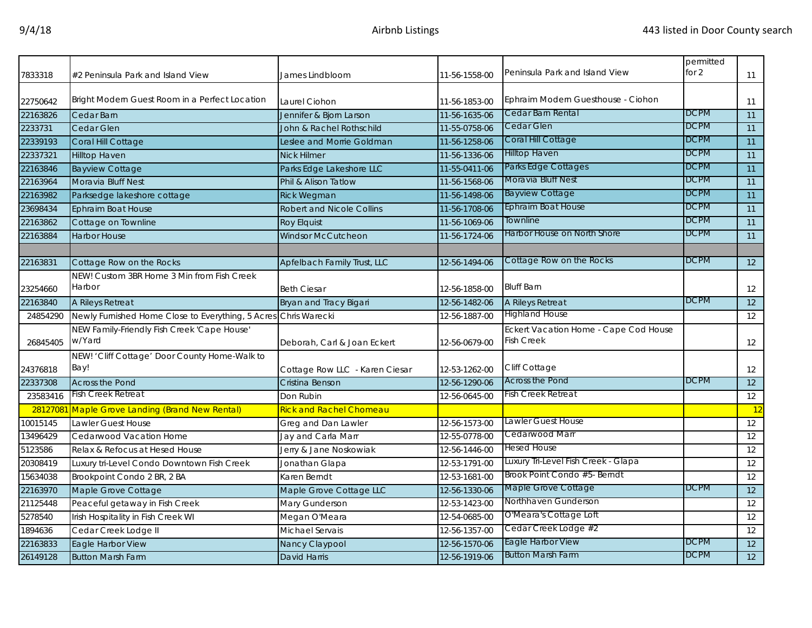| 7833318             | #2 Peninsula Park and Island View                                     | James Lindbloom                      | 11-56-1558-00 | Peninsula Park and Island View                      | permitted<br>for 2 | 11                                 |
|---------------------|-----------------------------------------------------------------------|--------------------------------------|---------------|-----------------------------------------------------|--------------------|------------------------------------|
|                     |                                                                       |                                      |               |                                                     |                    |                                    |
| 22750642            | Bright Modern Guest Room in a Perfect Location                        | Laurel Ciohon                        | 11-56-1853-00 | Ephraim Modern Guesthouse - Ciohon                  |                    | 11                                 |
| 22163826            | Cedar Barn                                                            | Jennifer & Bjorn Larson              | 11-56-1635-06 | Cedar Barn Rental                                   | <b>DCPM</b>        | 11                                 |
| 2233731             | Cedar Glen                                                            | John & Rachel Rothschild             | 11-55-0758-06 | Cedar Glen                                          | <b>DCPM</b>        | 11                                 |
| 22339193            | Coral Hill Cottage                                                    | Leslee and Morrie Goldman            | 11-56-1258-06 | Coral Hill Cottage                                  | <b>DCPM</b>        | 11                                 |
| 22337321            | Hilltop Haven                                                         | <b>Nick Hilmer</b>                   | 11-56-1336-06 | <b>Hilltop Haven</b>                                | <b>DCPM</b>        | 11                                 |
| 22163846            | <b>Bayview Cottage</b>                                                | Parks Edge Lakeshore LLC             | 11-55-0411-06 | Parks Edge Cottages                                 | <b>DCPM</b>        | 11                                 |
| 22163964            | Moravia Bluff Nest                                                    | Phil & Alison Tatlow                 | 11-56-1568-06 | Moravia Bluff Nest                                  | <b>DCPM</b>        | 11                                 |
| 22163982            | Parksedge lakeshore cottage                                           | <b>Rick Wegman</b>                   | 11-56-1498-06 | <b>Bayview Cottage</b>                              | <b>DCPM</b>        | 11                                 |
| 23698434            | Ephraim Boat House                                                    | <b>Robert and Nicole Collins</b>     | 11-56-1708-06 | <b>Ephraim Boat House</b>                           | <b>DCPM</b>        | 11                                 |
| 22163862            | Cottage on Townline                                                   | <b>Roy Elguist</b>                   | 11-56-1069-06 | Townline                                            | <b>DCPM</b>        | 11                                 |
| 22163884            | <b>Harbor House</b>                                                   | <b>Windsor McCutcheon</b>            | 11-56-1724-06 | Harbor House on North Shore                         | <b>DCPM</b>        | 11                                 |
|                     |                                                                       |                                      |               |                                                     |                    |                                    |
| 22163831            | Cottage Row on the Rocks                                              | Apfelbach Family Trust, LLC          | 12-56-1494-06 | Cottage Row on the Rocks                            | <b>DCPM</b>        | 12                                 |
|                     | NEW! Custom 3BR Home 3 Min from Fish Creek                            |                                      |               |                                                     |                    |                                    |
| 23254660            | Harbor                                                                | <b>Beth Ciesar</b>                   | 12-56-1858-00 | <b>Bluff Barn</b>                                   |                    | 12                                 |
| 22163840            | A Rileys Retreat                                                      | <b>Bryan and Tracy Bigari</b>        | 12-56-1482-06 | A Rileys Retreat                                    | <b>DCPM</b>        | 12                                 |
| 24854290            | Newly Furnished Home Close to Everything, 5 Acres Chris Warecki       |                                      | 12-56-1887-00 | <b>Highland House</b>                               |                    | 12                                 |
|                     | NEW Family-Friendly Fish Creek 'Cape House'<br>w/Yard                 |                                      |               | Eckert Vacation Home - Cape Cod House<br>Fish Creek |                    |                                    |
| 26845405            |                                                                       | Deborah, Carl & Joan Eckert          | 12-56-0679-00 |                                                     |                    | 12                                 |
|                     | NEW! 'Cliff Cottage' Door County Home-Walk to<br>Bay!                 |                                      |               | Cliff Cottage                                       |                    |                                    |
| 24376818            |                                                                       | Cottage Row LLC - Karen Ciesar       | 12-53-1262-00 | <b>Across the Pond</b>                              | <b>DCPM</b>        | 12                                 |
| 22337308            | <b>Across the Pond</b><br>Fish Creek Retreat                          | Cristina Benson                      | 12-56-1290-06 | Fish Creek Retreat                                  |                    | 12                                 |
| 23583416            |                                                                       | Don Rubin                            | 12-56-0645-00 |                                                     |                    | 12                                 |
| 10015145            | 28127081 Maple Grove Landing (Brand New Rental)<br>Lawler Guest House | <mark>Rick and Rachel Chomeau</mark> | 12-56-1573-00 | Lawler Guest House                                  |                    | $\overline{12}$<br>$\overline{12}$ |
|                     |                                                                       | Greg and Dan Lawler                  |               | Cedarwood Marr                                      |                    |                                    |
| 13496429            | Cedarwood Vacation Home                                               | Jay and Carla Marr                   | 12-55-0778-00 | Hesed House                                         |                    | 12<br>$\overline{12}$              |
| 5123586             | Relax & Refocus at Hesed House                                        | Jerry & Jane Noskowiak               | 12-56-1446-00 | Luxury Tri-Level Fish Creek - Glapa                 |                    |                                    |
| 20308419            | Luxury tri-Level Condo Downtown Fish Creek                            | Jonathan Glapa                       | 12-53-1791-00 | Brook Point Condo #5- Berndt                        |                    | 12                                 |
| 15634038            | Brookpoint Condo 2 BR, 2 BA                                           | Karen Berndt                         | 12-53-1681-00 | Maple Grove Cottage                                 | <b>DCPM</b>        | 12                                 |
| 22163970            | Maple Grove Cottage                                                   | Maple Grove Cottage LLC              | 12-56-1330-06 | Northhaven Gunderson                                |                    | 12                                 |
| 21125448<br>5278540 | Peaceful getaway in Fish Creek                                        | Mary Gunderson                       | 12-53-1423-00 | O'Meara's Cottage Loft                              |                    | 12                                 |
|                     | Irish Hospitality in Fish Creek WI                                    | Megan O'Meara                        | 12-54-0685-00 | Cedar Creek Lodge #2                                |                    | 12                                 |
| 1894636             | Cedar Creek Lodge II                                                  | Michael Servais                      | 12-56-1357-00 | Eagle Harbor View                                   | <b>DCPM</b>        | 12                                 |
| 22163833            | Eagle Harbor View                                                     | Nancy Claypool                       | 12-56-1570-06 | <b>Button Marsh Farm</b>                            | <b>DCPM</b>        | 12                                 |
| 26149128            | <b>Button Marsh Farm</b>                                              | <b>David Harris</b>                  | 12-56-1919-06 |                                                     |                    | 12                                 |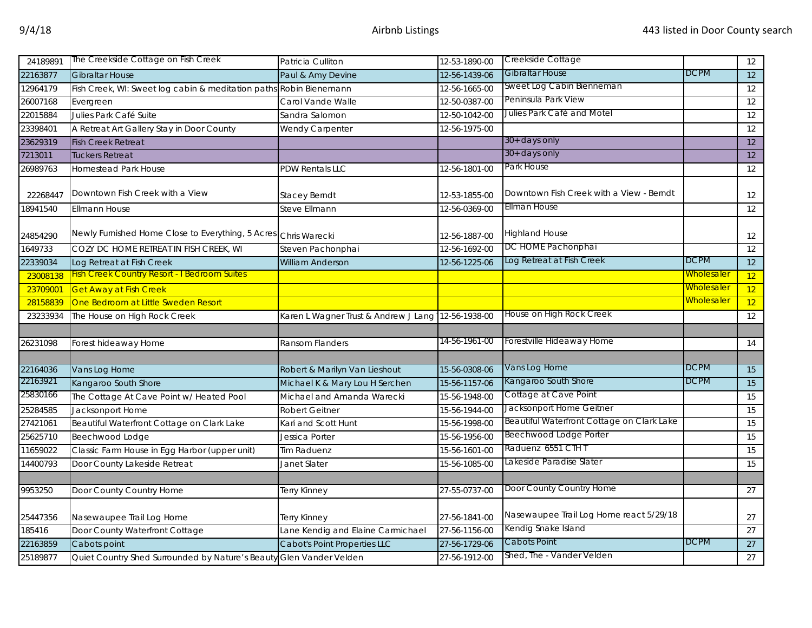| 24189891 | The Creekside Cottage on Fish Creek                                 | Patricia Culliton                    | 12-53-1890-00 | Creekside Cottage                          |                   | 12              |
|----------|---------------------------------------------------------------------|--------------------------------------|---------------|--------------------------------------------|-------------------|-----------------|
| 22163877 | <b>Gibraltar House</b>                                              | Paul & Amy Devine                    | 12-56-1439-06 | Gibraltar House                            | <b>DCPM</b>       | 12              |
| 12964179 | Fish Creek, WI: Sweet log cabin & meditation paths Robin Bienemann  |                                      | 12-56-1665-00 | Sweet Log Cabin Bienneman                  |                   | 12              |
| 26007168 | Evergreen                                                           | Carol Vande Walle                    | 12-50-0387-00 | Peninsula Park View                        |                   | 12              |
| 22015884 | Julies Park Café Suite                                              | Sandra Salomon                       | 12-50-1042-00 | Julies Park Café and Motel                 |                   | 12              |
| 23398401 | A Retreat Art Gallery Stay in Door County                           | Wendy Carpenter                      | 12-56-1975-00 |                                            |                   | 12              |
| 23629319 | <b>Fish Creek Retreat</b>                                           |                                      |               | 30+ days only                              |                   | 12              |
| 7213011  | <b>Tuckers Retreat</b>                                              |                                      |               | 30+ days only                              |                   | 12              |
| 26989763 | <b>Homestead Park House</b>                                         | <b>PDW Rentals LLC</b>               | 12-56-1801-00 | Park House                                 |                   | 12              |
| 22268447 | Downtown Fish Creek with a View                                     | <b>Stacey Berndt</b>                 | 12-53-1855-00 | Downtown Fish Creek with a View - Berndt   |                   | 12              |
| 18941540 | <b>Ellmann House</b>                                                | Steve Ellmann                        | 12-56-0369-00 | Ellman House                               |                   | 12              |
| 24854290 | Newly Furnished Home Close to Everything, 5 Acres Chris Warecki     |                                      | 12-56-1887-00 | <b>Highland House</b>                      |                   | 12              |
| 1649733  | COZY DC HOME RETREAT IN FISH CREEK, WI                              | Steven Pachonphai                    | 12-56-1692-00 | DC HOME Pachonphai                         |                   | 12              |
| 22339034 | Log Retreat at Fish Creek                                           | <b>William Anderson</b>              | 12-56-1225-06 | Log Retreat at Fish Creek                  | <b>DCPM</b>       | $\overline{12}$ |
| 23008138 | <b>Fish Creek Country Resort - I Bedroom Suites</b>                 |                                      |               |                                            | <u>Wholesaler</u> | 12              |
| 23709001 | <b>Get Away at Fish Creek</b>                                       |                                      |               |                                            | <u>Wholesaler</u> | 12              |
| 28158839 | One Bedroom at Little Sweden Resort                                 |                                      |               |                                            | <u>Wholesaler</u> | 12              |
| 23233934 | The House on High Rock Creek                                        | Karen L Wagner Trust & Andrew J Lang | 12-56-1938-00 | House on High Rock Creek                   |                   | 12              |
|          |                                                                     |                                      |               |                                            |                   |                 |
| 26231098 | Forest hideaway Home                                                | Ransom Flanders                      | 14-56-1961-00 | Forestville Hideaway Home                  |                   | 14              |
|          |                                                                     |                                      |               |                                            |                   |                 |
| 22164036 | Vans Log Home                                                       | Robert & Marilyn Van Lieshout        | 15-56-0308-06 | Vans Log Home                              | DCPM              | 15              |
| 22163921 | Kangaroo South Shore                                                | Michael K & Mary Lou H Serchen       | 15-56-1157-06 | Kangaroo South Shore                       | <b>DCPM</b>       | 15              |
| 25830166 | The Cottage At Cave Point w/ Heated Pool                            | Michael and Amanda Warecki           | 15-56-1948-00 | Cottage at Cave Point                      |                   | 15              |
| 25284585 | Jacksonport Home                                                    | Robert Geitner                       | 15-56-1944-00 | Jacksonport Home Geitner                   |                   | 15              |
| 27421061 | Beautiful Waterfront Cottage on Clark Lake                          | Kari and Scott Hunt                  | 15-56-1998-00 | Beautiful Waterfront Cottage on Clark Lake |                   | 15              |
| 25625710 | Beechwood Lodge                                                     | Jessica Porter                       | 15-56-1956-00 | Beechwood Lodge Porter                     |                   | 15              |
| 11659022 | Classic Farm House in Egg Harbor (upper unit)                       | lim Raduenz                          | 15-56-1601-00 | Raduenz 6551 CTH T                         |                   | 15              |
| 14400793 | Door County Lakeside Retreat                                        | Janet Slater                         | 15-56-1085-00 | Lakeside Paradise Slater                   |                   | 15              |
|          |                                                                     |                                      |               |                                            |                   |                 |
| 9953250  | Door County Country Home                                            | Terry Kinney                         | 27-55-0737-00 | Door County Country Home                   |                   | 27              |
| 25447356 | Nasewaupee Trail Log Home                                           | Terry Kinney                         | 27-56-1841-00 | Nasewaupee Trail Log Home react 5/29/18    |                   | 27              |
| 185416   | Door County Waterfront Cottage                                      | Lane Kendig and Elaine Carmichael    | 27-56-1156-00 | Kendig Snake Island                        |                   | $\overline{27}$ |
| 22163859 | Cabots point                                                        | Cabot's Point Properties LLC         | 27-56-1729-06 | Cabots Point                               | <b>DCPM</b>       | 27              |
| 25189877 | Quiet Country Shed Surrounded by Nature's Beauty Glen Vander Velden |                                      | 27-56-1912-00 | Shed, The - Vander Velden                  |                   | 27              |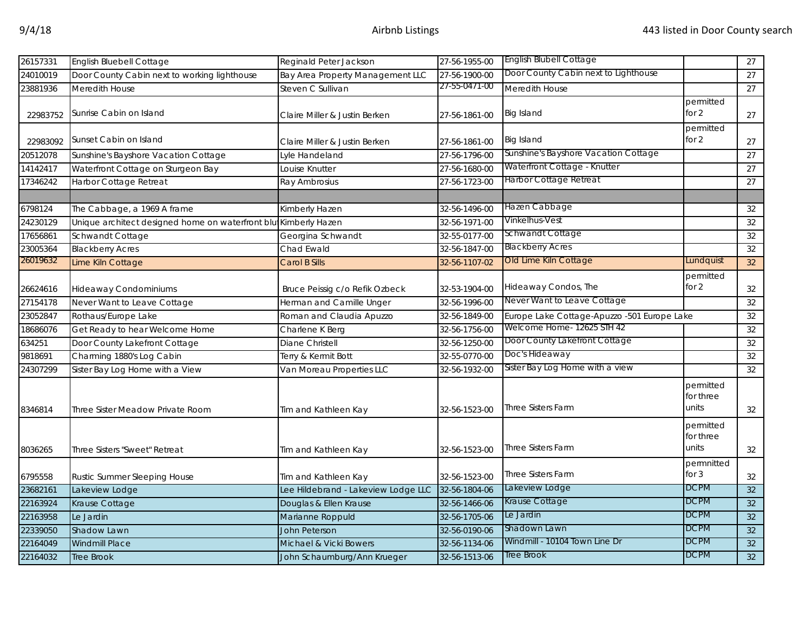| 26157331 | English Bluebell Cottage                                        | Reginald Peter Jackson              | 27-56-1955-00 | <b>English Blubell Cottage</b>              |                                 | 27              |
|----------|-----------------------------------------------------------------|-------------------------------------|---------------|---------------------------------------------|---------------------------------|-----------------|
| 24010019 | Door County Cabin next to working lighthouse                    | Bay Area Property Management LLC    | 27-56-1900-00 | Door County Cabin next to Lighthouse        |                                 | 27              |
| 23881936 | Meredith House                                                  | Steven C Sullivan                   | 27-55-0471-00 | Meredith House                              |                                 | 27              |
| 22983752 | Sunrise Cabin on Island                                         | Claire Miller & Justin Berken       | 27-56-1861-00 | Big Island                                  | permitted<br>for $2$            | 27              |
| 22983092 | Sunset Cabin on Island                                          | Claire Miller & Justin Berken       | 27-56-1861-00 | Big Island                                  | permitted<br>for 2              | 27              |
| 20512078 | Sunshine's Bayshore Vacation Cottage                            | yle Handeland                       | 27-56-1796-00 | Sunshine's Bayshore Vacation Cottage        |                                 | 27              |
| 14142417 | Waterfront Cottage on Sturgeon Bay                              | Louise Knutter                      | 27-56-1680-00 | Waterfront Cottage - Knutter                |                                 | 27              |
| 17346242 | Harbor Cottage Retreat                                          | Ray Ambrosius                       | 27-56-1723-00 | Harbor Cottage Retreat                      |                                 | 27              |
| 6798124  | The Cabbage, a 1969 A frame                                     | Kimberly Hazen                      | 32-56-1496-00 | Hazen Cabbage                               |                                 | 32              |
| 24230129 | Unique architect designed home on waterfront blu Kimberly Hazen |                                     | 32-56-1971-00 | Vinkelhus-Vest                              |                                 | 32              |
| 17656861 | Schwandt Cottage                                                | Georgina Schwandt                   | 32-55-0177-00 | Schwandt Cottage                            |                                 | 32              |
| 23005364 | <b>Blackberry Acres</b>                                         | Chad Ewald                          | 32-56-1847-00 | <b>Blackberry Acres</b>                     |                                 | 32              |
| 26019632 | Lime Kiln Cottage                                               | <b>Carol B Sills</b>                | 32-56-1107-02 | Old Lime Kiln Cottage                       | Lundquist                       | 32              |
| 26624616 | <b>Hideaway Condominiums</b>                                    | Bruce Peissig c/o Refik Ozbeck      | 32-53-1904-00 | Hideaway Condos, The                        | permitted<br>for 2              | 32              |
| 27154178 | Never Want to Leave Cottage                                     | Herman and Camille Unger            | 32-56-1996-00 | Never Want to Leave Cottage                 |                                 | 32              |
| 23052847 | Rothaus/Europe Lake                                             | Roman and Claudia Apuzzo            | 32-56-1849-00 | Europe Lake Cottage-Apuzzo -501 Europe Lake |                                 | 32              |
| 18686076 | Get Ready to hear Welcome Home                                  | Charlene K Berg                     | 32-56-1756-00 | Welcome Home- 12625 STH 42                  |                                 | 32              |
| 634251   | Door County Lakefront Cottage                                   | Diane Christell                     | 32-56-1250-00 | Door County Lakefront Cottage               |                                 | 32              |
| 9818691  | Charming 1880's Log Cabin                                       | Terry & Kermit Bott                 | 32-55-0770-00 | Doc's Hideaway                              |                                 | 32              |
| 24307299 | Sister Bay Log Home with a View                                 | Van Moreau Properties LLC           | 32-56-1932-00 | Sister Bay Log Home with a view             |                                 | 32              |
| 8346814  | Three Sister Meadow Private Room                                | Tim and Kathleen Kay                | 32-56-1523-00 | <b>Three Sisters Farm</b>                   | permitted<br>for three<br>units | 32              |
| 8036265  | Three Sisters "Sweet" Retreat                                   | Tim and Kathleen Kay                | 32-56-1523-00 | <b>Three Sisters Farm</b>                   | permitted<br>for three<br>units | 32              |
| 6795558  | Rustic Summer Sleeping House                                    | Tim and Kathleen Kay                | 32-56-1523-00 | <b>Three Sisters Farm</b>                   | permnitted<br>for 3             | 32              |
| 23682161 | Lakeview Lodge                                                  | Lee Hildebrand - Lakeview Lodge LLC | 32-56-1804-06 | Lakeview Lodge                              | <b>DCPM</b>                     | 32              |
| 22163924 | Krause Cottage                                                  | Douglas & Ellen Krause              | 32-56-1466-06 | Krause Cottage                              | <b>DCPM</b>                     | 32              |
| 22163958 | Le Jardin                                                       | Marianne Roppuld                    | 32-56-1705-06 | Le Jardin                                   | <b>DCPM</b>                     | 32              |
| 22339050 | <b>Shadow Lawn</b>                                              | <b>John Peterson</b>                | 32-56-0190-06 | Shadown Lawn                                | <b>DCPM</b>                     | 32              |
| 22164049 | <b>Windmill Place</b>                                           | Michael & Vicki Bowers              | 32-56-1134-06 | Windmill - 10104 Town Line Dr               | <b>DCPM</b>                     | $\overline{32}$ |
| 22164032 | <b>Tree Brook</b>                                               | John Schaumburg/Ann Krueger         | 32-56-1513-06 | Tree Brook                                  | <b>DCPM</b>                     | 32              |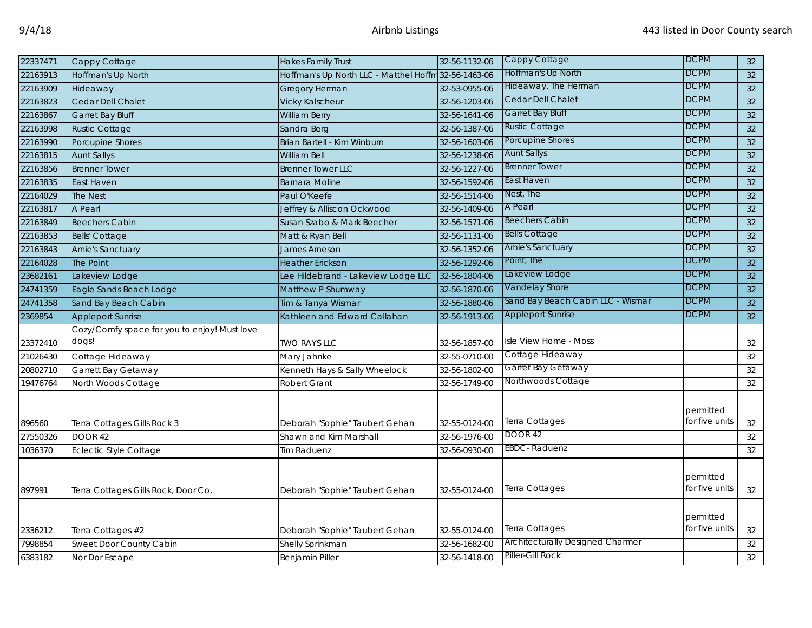| 22337471 | Cappy Cottage                                | <b>Hakes Family Trust</b>                            | 32-56-1132-06 | Cappy Cottage                     | <b>DCPM</b>    | 32              |
|----------|----------------------------------------------|------------------------------------------------------|---------------|-----------------------------------|----------------|-----------------|
| 22163913 | Hoffman's Up North                           | Hoffman's Up North LLC - Matthel Hoffm 32-56-1463-06 |               | Hoffman's Up North                | DCPM           | 32              |
| 22163909 | Hideaway                                     | Gregory Herman                                       | 32-53-0955-06 | Hideaway, The Herman              | <b>DCPM</b>    | 32              |
| 22163823 | Cedar Dell Chalet                            | <b>Vicky Kalscheur</b>                               | 32-56-1203-06 | Cedar Dell Chalet                 | <b>DCPM</b>    | 32              |
| 22163867 | Garret Bay Bluff                             | <b>William Berry</b>                                 | 32-56-1641-06 | Garret Bay Bluff                  | <b>DCPM</b>    | $\overline{32}$ |
| 22163998 | <b>Rustic Cottage</b>                        | Sandra Berg                                          | 32-56-1387-06 | <b>Rustic Cottage</b>             | <b>DCPM</b>    | 32              |
| 22163990 | Porcupine Shores                             | Brian Bartell - Kim Winburn                          | 32-56-1603-06 | Porcupine Shores                  | <b>DCPM</b>    | 32              |
| 22163815 | <b>Aunt Sallys</b>                           | William Bell                                         | 32-56-1238-06 | <b>Aunt Sallys</b>                | <b>DCPM</b>    | 32              |
| 22163856 | <b>Brenner Tower</b>                         | <b>Brenner Tower LLC</b>                             | 32-56-1227-06 | <b>Brenner Tower</b>              | DCPM           | 32              |
| 22163835 | East Haven                                   | <b>Barnara Moline</b>                                | 32-56-1592-06 | East Haven                        | DCPM           | 32              |
| 22164029 | The Nest                                     | Paul O'Keefe                                         | 32-56-1514-06 | Nest, The                         | <b>DCPM</b>    | 32              |
| 22163817 | A Pearl                                      | Jeffrey & Alliscon Ockwood                           | 32-56-1409-06 | A Pearl                           | <b>DCPM</b>    | 32              |
| 22163849 | <b>Beechers Cabin</b>                        | Susan Szabo & Mark Beecher                           | 32-56-1571-06 | <b>Beechers Cabin</b>             | <b>DCPM</b>    | 32              |
| 22163853 | <b>Bells' Cottage</b>                        | Matt & Ryan Bell                                     | 32-56-1131-06 | <b>Bells Cottage</b>              | <b>DCPM</b>    | 32              |
| 22163843 | <b>Arnie's Sanctuary</b>                     | James Arneson                                        | 32-56-1352-06 | <b>Arnie's Sanctuary</b>          | <b>DCPM</b>    | 32              |
| 22164028 | <b>The Point</b>                             | <b>Heather Erickson</b>                              | 32-56-1292-06 | Point, The                        | <b>DCPM</b>    | 32              |
| 23682161 | Lakeview Lodge                               | Lee Hildebrand - Lakeview Lodge LLC                  | 32-56-1804-06 | Lakeview Lodge                    | <b>DCPM</b>    | 32              |
| 24741359 | Eagle Sands Beach Lodge                      | Matthew P Shumway                                    | 32-56-1870-06 | Vandelay Shore                    | DCPM           | 32              |
| 24741358 | Sand Bay Beach Cabin                         | Tim & Tanya Wismar                                   | 32-56-1880-06 | Sand Bay Beach Cabin LLC - Wismar | <b>DCPM</b>    | 32              |
| 2369854  | <b>Appleport Sunrise</b>                     | Kathleen and Edward Callahan                         | 32-56-1913-06 | <b>Appleport Sunrise</b>          | <b>DCPM</b>    | 32              |
|          | Cozy/Comfy space for you to enjoy! Must love |                                                      |               |                                   |                |                 |
| 23372410 | dogs!                                        | <b>TWO RAYS LLC</b>                                  | 32-56-1857-00 | Isle View Home - Moss             |                | 32              |
| 21026430 | Cottage Hideaway                             | Mary Jahnke                                          | 32-55-0710-00 | Cottage Hideaway                  |                | 32              |
| 20802710 | Garrett Bay Getaway                          | Kenneth Hays & Sally Wheelock                        | 32-56-1802-00 | Garret Bay Getaway                |                | 32              |
| 19476764 | North Woods Cottage                          | Robert Grant                                         | 32-56-1749-00 | Northwoods Cottage                |                | 32              |
|          |                                              |                                                      |               |                                   |                |                 |
|          |                                              |                                                      |               |                                   | permitted      |                 |
| 896560   | Terra Cottages Gills Rock 3                  | Deborah "Sophie" Taubert Gehan                       | 32-55-0124-00 | <b>Terra Cottages</b>             | for five units | $32\,$          |
| 27550326 | DOOR 42                                      | Shawn and Kim Marshall                               | 32-56-1976-00 | DOOR 42                           |                | 32              |
| 1036370  | Eclectic Style Cottage                       | Tim Raduenz                                          | 32-56-0930-00 | <b>EBDC</b> - Raduenz             |                | 32              |
|          |                                              |                                                      |               |                                   |                |                 |
|          |                                              |                                                      |               |                                   | permitted      |                 |
| 897991   | Terra Cottages Gills Rock, Door Co.          | Deborah "Sophie" Taubert Gehan                       | 32-55-0124-00 | Terra Cottages                    | for five units | 32              |
|          |                                              |                                                      |               |                                   |                |                 |
|          |                                              |                                                      |               |                                   | permitted      |                 |
| 2336212  | Terra Cottages #2                            | Deborah "Sophie" Taubert Gehan                       | 32-55-0124-00 | Terra Cottages                    | for five units | 32              |
| 7998854  | Sweet Door County Cabin                      | Shelly Sprinkman                                     | 32-56-1682-00 | Architecturally Designed Charmer  |                | $32\,$          |
| 6383182  | Nor Dor Escape                               | <b>Benjamin Piller</b>                               | 32-56-1418-00 | Piller-Gill Rock                  |                | 32              |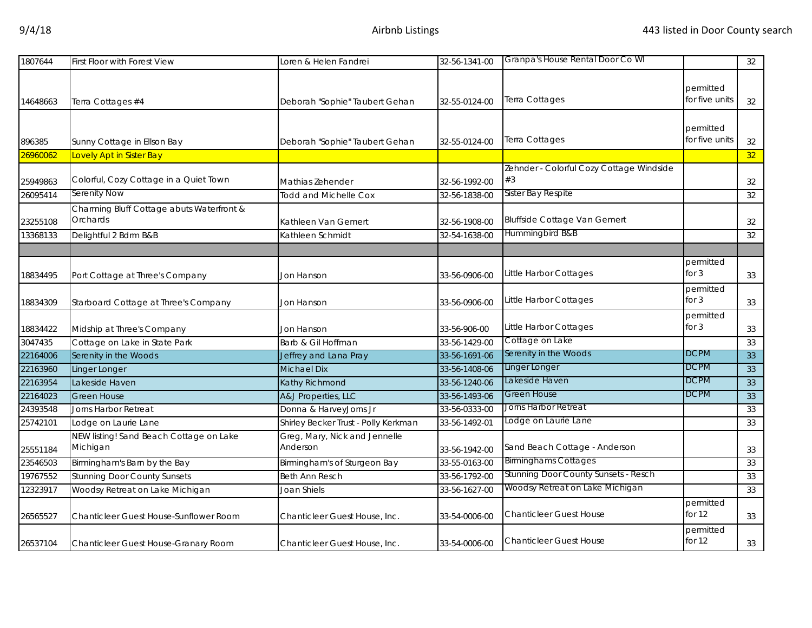| 1807644  | <b>First Floor with Forest View</b>                    | Loren & Helen Fandrei                     | 32-56-1341-00 | Granpa's House Rental Door Co WI                                     |                             | 32 |
|----------|--------------------------------------------------------|-------------------------------------------|---------------|----------------------------------------------------------------------|-----------------------------|----|
| 14648663 | Terra Cottages #4                                      | Deborah "Sophie" Taubert Gehan            | 32-55-0124-00 | Terra Cottages                                                       | permitted<br>for five units | 32 |
| 896385   | Sunny Cottage in Ellson Bay                            | Deborah "Sophie" Taubert Gehan            | 32-55-0124-00 | Terra Cottages                                                       | permitted<br>for five units | 32 |
| 26960062 | Lovely Apt in Sister Bay                               |                                           |               |                                                                      |                             | 32 |
| 25949863 | Colorful, Cozy Cottage in a Quiet Town<br>Serenity Now | Mathias Zehender                          | 32-56-1992-00 | Zehnder - Colorful Cozy Cottage Windside<br>#3<br>Sister Bay Respite |                             | 32 |
| 26095414 |                                                        | <b>Todd and Michelle Cox</b>              | 32-56-1838-00 |                                                                      |                             | 32 |
| 23255108 | Charming Bluff Cottage abuts Waterfront &<br>Orchards  | Kathleen Van Gemert                       | 32-56-1908-00 | <b>Bluffside Cottage Van Gemert</b>                                  |                             | 32 |
| 13368133 | Delightful 2 Bdrm B&B                                  | <b>Kathleen Schmidt</b>                   | 32-54-1638-00 | Hummingbird B&B                                                      |                             | 32 |
|          |                                                        |                                           |               |                                                                      |                             |    |
| 18834495 | Port Cottage at Three's Company                        | Jon Hanson                                | 33-56-0906-00 | Little Harbor Cottages                                               | permitted<br>for $3$        | 33 |
| 18834309 | Starboard Cottage at Three's Company                   | Jon Hanson                                | 33-56-0906-00 | Little Harbor Cottages                                               | permitted<br>for 3          | 33 |
| 18834422 | Midship at Three's Company                             | Jon Hanson                                | 33-56-906-00  | Little Harbor Cottages                                               | permitted<br>for $3$        | 33 |
| 3047435  | Cottage on Lake in State Park                          | Barb & Gil Hoffman                        | 33-56-1429-00 | Cottage on Lake                                                      |                             | 33 |
| 22164006 | Serenity in the Woods                                  | Jeffrey and Lana Pray                     | 33-56-1691-06 | Serenity in the Woods                                                | <b>DCPM</b>                 | 33 |
| 22163960 | Linger Longer                                          | <b>Michael Dix</b>                        | 33-56-1408-06 | Linger Longer                                                        | <b>DCPM</b>                 | 33 |
| 22163954 | Lakeside Haven                                         | Kathy Richmond                            | 33-56-1240-06 | Lakeside Haven                                                       | <b>DCPM</b>                 | 33 |
| 22164023 | <b>Green House</b>                                     | A&J Properties, LLC                       | 33-56-1493-06 | <b>Green House</b>                                                   | <b>DCPM</b>                 | 33 |
| 24393548 | Jorns Harbor Retreat                                   | Donna & HarveyJorns Jr                    | 33-56-0333-00 | Jorns Harbor Retreat                                                 |                             | 33 |
| 25742101 | Lodge on Laurie Lane                                   | Shirley Becker Trust - Polly Kerkman      | 33-56-1492-01 | Lodge on Laurie Lane                                                 |                             | 33 |
| 25551184 | NEW listing! Sand Beach Cottage on Lake<br>Michigan    | Greg, Mary, Nick and Jennelle<br>Anderson | 33-56-1942-00 | Sand Beach Cottage - Anderson                                        |                             | 33 |
| 23546503 | Birmingham's Barn by the Bay                           | Birmingham's of Sturgeon Bay              | 33-55-0163-00 | <b>Birminghams Cottages</b>                                          |                             | 33 |
| 19767552 | <b>Stunning Door County Sunsets</b>                    | <b>Beth Ann Resch</b>                     | 33-56-1792-00 | Stunning Door County Sunsets - Resch                                 |                             | 33 |
| 12323917 | Woodsy Retreat on Lake Michigan                        | Joan Shiels                               | 33-56-1627-00 | Woodsy Retreat on Lake Michigan                                      |                             | 33 |
| 26565527 | Chanticleer Guest House-Sunflower Room                 | Chanticleer Guest House, Inc.             | 33-54-0006-00 | <b>Chanticleer Guest House</b>                                       | permitted<br>for $12$       | 33 |
| 26537104 | Chanticleer Guest House-Granary Room                   | Chanticleer Guest House, Inc.             | 33-54-0006-00 | <b>Chanticleer Guest House</b>                                       | permitted<br>for $12$       | 33 |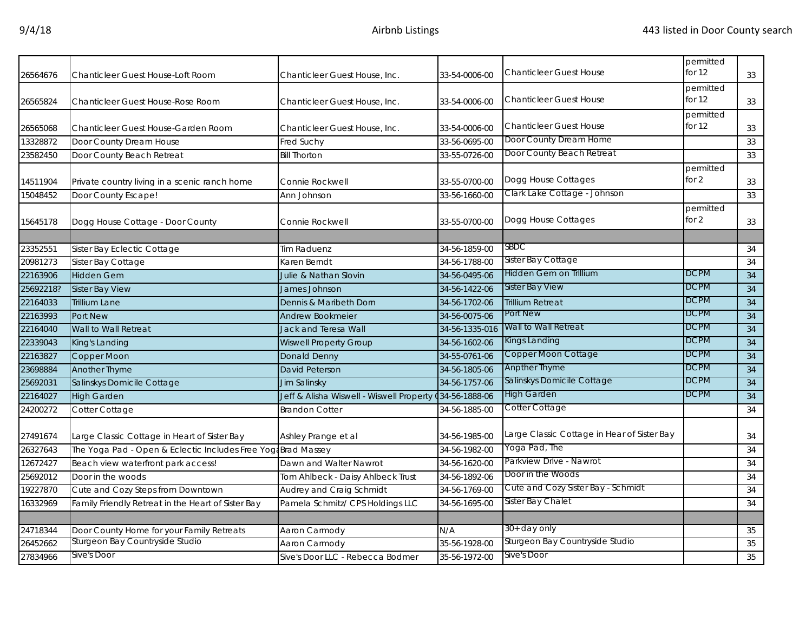| 26564676  | <b>Chanticleer Guest House-Loft Room</b>                      | Chanticleer Guest House, Inc.                   | 33-54-0006-00         | <b>Chanticleer Guest House</b>              | permitted<br>for $12$ | 33              |
|-----------|---------------------------------------------------------------|-------------------------------------------------|-----------------------|---------------------------------------------|-----------------------|-----------------|
| 26565824  | Chanticleer Guest House-Rose Room                             | Chanticleer Guest House, Inc.                   | 33-54-0006-00         | <b>Chanticleer Guest House</b>              | permitted<br>for $12$ | 33              |
| 26565068  | Chanticleer Guest House-Garden Room                           | Chanticleer Guest House, Inc.                   | 33-54-0006-00         | <b>Chanticleer Guest House</b>              | permitted<br>for 12   | 33              |
| 13328872  | Door County Dream House                                       | Fred Suchy                                      | 33-56-0695-00         | Door County Dream Home                      |                       | 33              |
| 23582450  | Door County Beach Retreat                                     | <b>Bill Thorton</b>                             | 33-55-0726-00         | Door County Beach Retreat                   |                       | 33              |
| 14511904  | Private country living in a scenic ranch home                 | Connie Rockwell                                 | 33-55-0700-00         | Dogg House Cottages                         | permitted<br>for $2$  | 33              |
| 15048452  | Door County Escape!                                           | Ann Johnson                                     | 33-56-1660-00         | Clark Lake Cottage - Johnson                |                       | 33              |
| 15645178  | Dogg House Cottage - Door County                              | Connie Rockwell                                 | 33-55-0700-00         | Dogg House Cottages                         | permitted<br>for $2$  | 33              |
| 23352551  | Sister Bay Eclectic Cottage                                   | Tim Raduenz                                     | 34-56-1859-00         | <b>SBDC</b>                                 |                       | 34              |
| 20981273  | Sister Bay Cottage                                            | Karen Berndt                                    | 34-56-1788-00         | Sister Bay Cottage                          |                       | 34              |
| 22163906  | <b>Hidden Gem</b>                                             | Julie & Nathan Slovin                           | 34-56-0495-06         | Hidden Gem on Trillium                      | <b>DCPM</b>           | 34              |
| 25692218? | Sister Bay View                                               | James Johnson                                   | 34-56-1422-06         | <b>Sister Bay View</b>                      | <b>DCPM</b>           | 34              |
| 22164033  | <b>Trillium Lane</b>                                          | Dennis & Maribeth Dorn                          | 34-56-1702-06         | <b>Trillium Retreat</b>                     | <b>DCPM</b>           | 34              |
|           |                                                               |                                                 |                       | Port New                                    | <b>DCPM</b>           |                 |
| 22163993  | Port New                                                      | <b>Andrew Bookmeier</b><br>Jack and Teresa Wall | 34-56-0075-06         | Wall to Wall Retreat                        | <b>DCPM</b>           | 34<br>34        |
| 22164040  | Wall to Wall Retreat                                          |                                                 | 34-56-1335-016        | Kings Landing                               | <b>DCPM</b>           |                 |
| 22339043  | King's Landing                                                | <b>Wiswell Property Group</b>                   | 34-56-1602-06         | <b>Copper Moon Cottage</b>                  | <b>DCPM</b>           | 34              |
| 22163827  | Copper Moon                                                   | Donald Denny                                    | 34-55-0761-06         | <b>Anpther Thyme</b>                        | <b>DCPM</b>           | 34              |
| 23698884  | Another Thyme                                                 | David Peterson                                  | 34-56-1805-06         | Salinskys Domicile Cottage                  | <b>DCPM</b>           | $\overline{34}$ |
| 25692031  | Salinskys Domicile Cottage                                    | Jim Salinsky                                    | 34-56-1757-06         | <b>High Garden</b>                          | <b>DCPM</b>           | 34              |
| 22164027  | <b>High Garden</b>                                            | Jeff & Alisha Wiswell - Wiswell Property        | <b>434-56-1888-06</b> |                                             |                       | 34              |
| 24200272  | Cotter Cottage                                                | <b>Brandon Cotter</b>                           | 34-56-1885-00         | Cotter Cottage                              |                       | 34              |
| 27491674  | Large Classic Cottage in Heart of Sister Bay                  | Ashley Prange et al                             | 34-56-1985-00         | Large Classic Cottage in Hear of Sister Bay |                       | 34              |
| 26327643  | The Yoga Pad - Open & Eclectic Includes Free Yoga Brad Massey |                                                 | 34-56-1982-00         | Yoga Pad, The                               |                       | 34              |
| 12672427  | Beach view waterfront park access!                            | Dawn and Walter Nawrot                          | 34-56-1620-00         | Parkview Drive - Nawrot                     |                       | 34              |
| 25692012  | Door in the woods                                             | Tom Ahlbeck - Daisy Ahlbeck Trust               | 34-56-1892-06         | Door in the Woods                           |                       | 34              |
| 19227870  | Cute and Cozy Steps from Downtown                             | Audrey and Craig Schmidt                        | 34-56-1769-00         | Cute and Cozy Sister Bay - Schmidt          |                       | 34              |
| 16332969  | Family Friendly Retreat in the Heart of Sister Bay            | Pamela Schmitz/ CPS Holdings LLC                | 34-56-1695-00         | Sister Bay Chalet                           |                       | 34              |
|           |                                                               |                                                 |                       |                                             |                       |                 |
| 24718344  | Door County Home for your Family Retreats                     | Aaron Carmody                                   | N/A                   | 30+ day only                                |                       | 35              |
| 26452662  | Sturgeon Bay Countryside Studio                               | Aaron Carmody                                   | 35-56-1928-00         | Sturgeon Bay Countryside Studio             |                       | 35              |
| 27834966  | Sive's Door                                                   | Sive's Door LLC - Rebecca Bodmer                | 35-56-1972-00         | Sive's Door                                 |                       | 35              |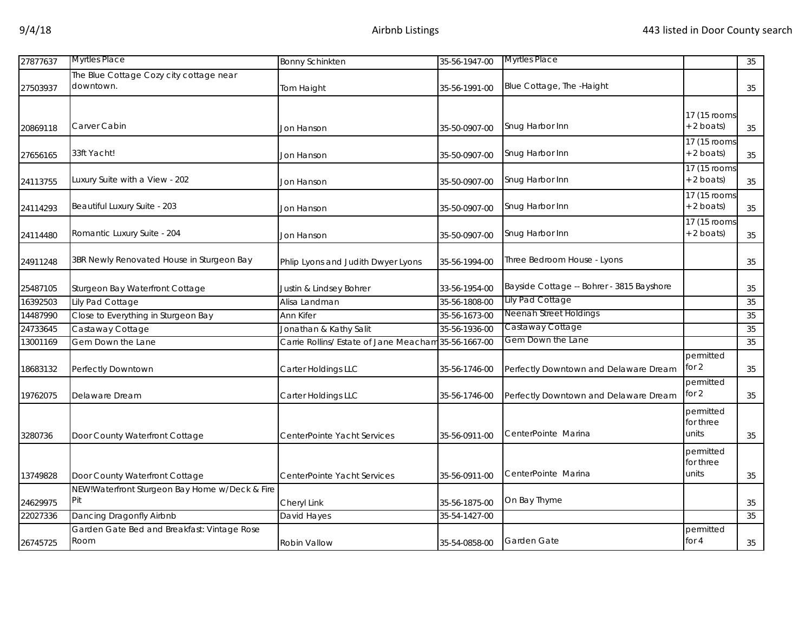| 27877637 | <b>Myrtles Place</b>                                 | <b>Bonny Schinkten</b>                               | 35-56-1947-00 | <b>Myrtles Place</b>                      |                                 | 35 |
|----------|------------------------------------------------------|------------------------------------------------------|---------------|-------------------------------------------|---------------------------------|----|
| 27503937 | The Blue Cottage Cozy city cottage near<br>downtown. | Tom Haight                                           | 35-56-1991-00 | Blue Cottage, The -Haight                 |                                 | 35 |
| 20869118 | Carver Cabin                                         | Jon Hanson                                           | 35-50-0907-00 | Snug Harbor Inn                           | 17 (15 rooms<br>$+ 2$ boats)    | 35 |
| 27656165 | 33ft Yacht!                                          | Jon Hanson                                           | 35-50-0907-00 | Snug Harbor Inn                           | 17 (15 rooms<br>$+ 2$ boats)    | 35 |
| 24113755 | Luxury Suite with a View - 202                       | Jon Hanson                                           | 35-50-0907-00 | Snug Harbor Inn                           | 17 (15 rooms)<br>+ 2 boats)     | 35 |
| 24114293 | Beautiful Luxury Suite - 203                         | Jon Hanson                                           | 35-50-0907-00 | Snug Harbor Inn                           | 17 (15 rooms<br>+ 2 boats)      | 35 |
| 24114480 | Romantic Luxury Suite - 204                          | Jon Hanson                                           | 35-50-0907-00 | Snug Harbor Inn                           | 17 (15 rooms)<br>$+ 2$ boats)   | 35 |
| 24911248 | 3BR Newly Renovated House in Sturgeon Bay            | Phlip Lyons and Judith Dwyer Lyons                   | 35-56-1994-00 | Three Bedroom House - Lyons               |                                 | 35 |
| 25487105 | Sturgeon Bay Waterfront Cottage                      | Justin & Lindsey Bohrer                              | 33-56-1954-00 | Bayside Cottage -- Bohrer - 3815 Bayshore |                                 | 35 |
| 16392503 | Lily Pad Cottage                                     | Alisa Landman                                        | 35-56-1808-00 | Lily Pad Cottage                          |                                 | 35 |
| 14487990 | Close to Everything in Sturgeon Bay                  | Ann Kifer                                            | 35-56-1673-00 | Neenah Street Holdings                    |                                 | 35 |
| 24733645 | Castaway Cottage                                     | Jonathan & Kathy Salit                               | 35-56-1936-00 | Castaway Cottage                          |                                 | 35 |
| 13001169 | Gem Down the Lane                                    | Carrie Rollins/ Estate of Jane Meacham 35-56-1667-00 |               | Gem Down the Lane                         |                                 | 35 |
| 18683132 | Perfectly Downtown                                   | Carter Holdings LLC                                  | 35-56-1746-00 | Perfectly Downtown and Delaware Dream     | permitted<br>for 2              | 35 |
| 19762075 | Delaware Dream                                       | Carter Holdings LLC                                  | 35-56-1746-00 | Perfectly Downtown and Delaware Dream     | permitted<br>for 2              | 35 |
| 3280736  | Door County Waterfront Cottage                       | CenterPointe Yacht Services                          | 35-56-0911-00 | CenterPointe Marina                       | permitted<br>for three<br>units | 35 |
| 13749828 | Door County Waterfront Cottage                       | CenterPointe Yacht Services                          | 35-56-0911-00 | CenterPointe Marina                       | permitted<br>for three<br>units | 35 |
|          | NEW!Waterfront Sturgeon Bay Home w/Deck & Fire       |                                                      |               |                                           |                                 |    |
| 24629975 | Pit                                                  | Cheryl Link                                          | 35-56-1875-00 | On Bay Thyme                              |                                 | 35 |
| 22027336 | Dancing Dragonfly Airbnb                             | David Hayes                                          | 35-54-1427-00 |                                           |                                 | 35 |
| 26745725 | Garden Gate Bed and Breakfast: Vintage Rose<br>Room  | Robin Vallow                                         | 35-54-0858-00 | Garden Gate                               | permitted<br>for $4$            | 35 |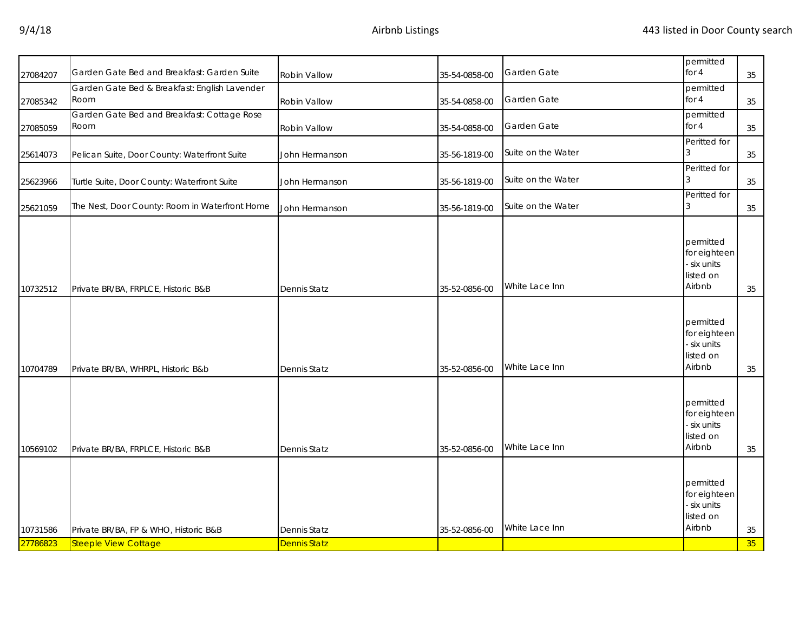| 27084207 | Garden Gate Bed and Breakfast: Garden Suite    | Robin Vallow        | 35-54-0858-00 | Garden Gate        | permitted<br>for 4                                              | 35 |
|----------|------------------------------------------------|---------------------|---------------|--------------------|-----------------------------------------------------------------|----|
|          | Garden Gate Bed & Breakfast: English Lavender  |                     |               |                    | permitted                                                       |    |
| 27085342 | Room                                           | Robin Vallow        | 35-54-0858-00 | Garden Gate        | for $4$                                                         | 35 |
|          | Garden Gate Bed and Breakfast: Cottage Rose    |                     |               |                    | permitted                                                       |    |
| 27085059 | Room                                           | Robin Vallow        | 35-54-0858-00 | Garden Gate        | for $4$                                                         | 35 |
| 25614073 | Pelican Suite, Door County: Waterfront Suite   | John Hermanson      | 35-56-1819-00 | Suite on the Water | Peritted for                                                    | 35 |
| 25623966 | Turtle Suite, Door County: Waterfront Suite    | John Hermanson      | 35-56-1819-00 | Suite on the Water | Peritted for                                                    | 35 |
| 25621059 | The Nest, Door County: Room in Waterfront Home | John Hermanson      | 35-56-1819-00 | Suite on the Water | Peritted for                                                    | 35 |
| 10732512 | Private BR/BA, FRPLCE, Historic B&B            | <b>Dennis Statz</b> | 35-52-0856-00 | White Lace Inn     | permitted<br>for eighteen<br>six units<br>listed on<br>Airbnb   | 35 |
| 10704789 | Private BR/BA, WHRPL, Historic B&b             | <b>Dennis Statz</b> | 35-52-0856-00 | White Lace Inn     | permitted<br>for eighteen<br>- six units<br>listed on<br>Airbnb | 35 |
| 10569102 | Private BR/BA, FRPLCE, Historic B&B            | <b>Dennis Statz</b> | 35-52-0856-00 | White Lace Inn     | permitted<br>for eighteen<br>- six units<br>listed on<br>Airbnb | 35 |
| 10731586 | Private BR/BA, FP & WHO, Historic B&B          | Dennis Statz        | 35-52-0856-00 | White Lace Inn     | permitted<br>for eighteen<br>six units<br>listed on<br>Airbnb   | 35 |
| 27786823 | <b>Steeple View Cottage</b>                    | <b>Dennis Statz</b> |               |                    |                                                                 | 35 |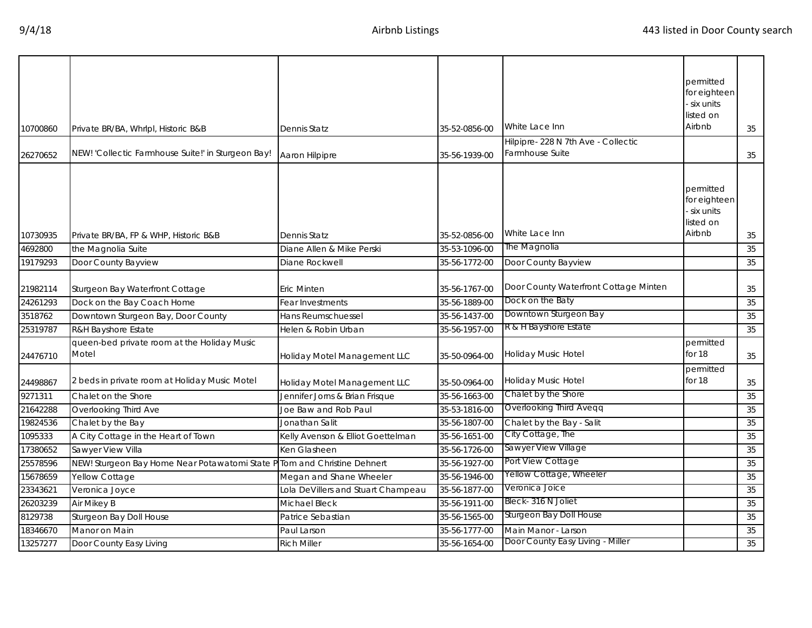| 10700860 | Private BR/BA, Whrlpl, Historic B&B                                      | Dennis Statz                       | 35-52-0856-00 | White Lace Inn                        | permitted<br>for eighteen<br>six units<br>listed on<br>Airbnb | 35 |
|----------|--------------------------------------------------------------------------|------------------------------------|---------------|---------------------------------------|---------------------------------------------------------------|----|
|          |                                                                          |                                    |               | Hilpipre- 228 N 7th Ave - Collectic   |                                                               |    |
| 26270652 | NEW! 'Collectic Farmhouse Suite!' in Sturgeon Bay!                       | Aaron Hilpipre                     | 35-56-1939-00 | Farmhouse Suite                       |                                                               | 35 |
|          |                                                                          |                                    |               | White Lace Inn                        | permitted<br>for eighteen<br>six units<br>listed on<br>Airbnb |    |
| 10730935 | Private BR/BA, FP & WHP, Historic B&B                                    | Dennis Statz                       | 35-52-0856-00 | The Magnolia                          |                                                               | 35 |
| 4692800  | the Magnolia Suite                                                       | Diane Allen & Mike Perski          | 35-53-1096-00 |                                       |                                                               | 35 |
| 19179293 | Door County Bayview                                                      | Diane Rockwell                     | 35-56-1772-00 | Door County Bayview                   |                                                               | 35 |
| 21982114 | Sturgeon Bay Waterfront Cottage                                          | Eric Minten                        | 35-56-1767-00 | Door County Waterfront Cottage Minten |                                                               | 35 |
| 24261293 | Dock on the Bay Coach Home                                               | Fear Investments                   | 35-56-1889-00 | Dock on the Baty                      |                                                               | 35 |
| 3518762  | Downtown Sturgeon Bay, Door County                                       | Hans Reumschuessel                 | 35-56-1437-00 | Downtown Sturgeon Bay                 |                                                               | 35 |
| 25319787 | R&H Bayshore Estate                                                      | Helen & Robin Urban                | 35-56-1957-00 | R & H Bayshore Estate                 |                                                               | 35 |
| 24476710 | queen-bed private room at the Holiday Music<br>Motel                     | Holiday Motel Management LLC       | 35-50-0964-00 | Holiday Music Hotel                   | permitted<br>for 18                                           | 35 |
| 24498867 | 2 beds in private room at Holiday Music Motel                            | Holiday Motel Management LLC       | 35-50-0964-00 | Holiday Music Hotel                   | permitted<br>for 18                                           | 35 |
| 9271311  | Chalet on the Shore                                                      | Jennifer Jorns & Brian Frisque     | 35-56-1663-00 | Chalet by the Shore                   |                                                               | 35 |
| 21642288 | Overlooking Third Ave                                                    | Joe Baw and Rob Paul               | 35-53-1816-00 | Overlooking Third Aveqq               |                                                               | 35 |
| 19824536 | Chalet by the Bay                                                        | Jonathan Salit                     | 35-56-1807-00 | Chalet by the Bay - Salit             |                                                               | 35 |
| 1095333  | A City Cottage in the Heart of Town                                      | Kelly Avenson & Elliot Goettelman  | 35-56-1651-00 | City Cottage, The                     |                                                               | 35 |
| 17380652 | Sawyer View Villa                                                        | Ken Glasheen                       | 35-56-1726-00 | Sawyer View Village                   |                                                               | 35 |
| 25578596 | NEW! Sturgeon Bay Home Near Potawatomi State P Tom and Christine Dehnert |                                    | 35-56-1927-00 | Port View Cottage                     |                                                               | 35 |
| 15678659 | Yellow Cottage                                                           | Megan and Shane Wheeler            | 35-56-1946-00 | Yellow Cottage, Wheeler               |                                                               | 35 |
| 23343621 | Veronica Joyce                                                           | Lola DeVillers and Stuart Champeau | 35-56-1877-00 | Veronica Joice                        |                                                               | 35 |
| 26203239 | Air Mikey B                                                              | <b>Michael Bleck</b>               | 35-56-1911-00 | Bleck- 316 N Joliet                   |                                                               | 35 |
| 8129738  | Sturgeon Bay Doll House                                                  | Patrice Sebastian                  | 35-56-1565-00 | Sturgeon Bay Doll House               |                                                               | 35 |
| 18346670 | Manor on Main                                                            | Paul Larson                        | 35-56-1777-00 | Main Manor - Larson                   |                                                               | 35 |
| 13257277 | Door County Easy Living                                                  | <b>Rich Miller</b>                 | 35-56-1654-00 | Door County Easy Living - Miller      |                                                               | 35 |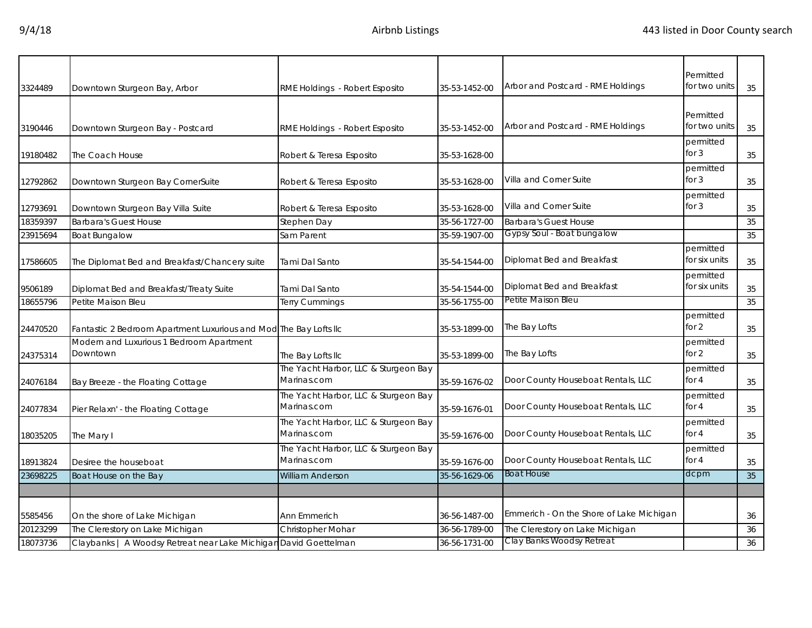| 3324489  | Downtown Sturgeon Bay, Arbor                                      | RME Holdings - Robert Esposito                      | 35-53-1452-00 | Arbor and Postcard - RME Holdings        | Permitted<br>for two units | 35 |
|----------|-------------------------------------------------------------------|-----------------------------------------------------|---------------|------------------------------------------|----------------------------|----|
| 3190446  | Downtown Sturgeon Bay - Postcard                                  | RME Holdings - Robert Esposito                      | 35-53-1452-00 | Arbor and Postcard - RME Holdings        | Permitted<br>for two units | 35 |
| 19180482 | The Coach House                                                   | Robert & Teresa Esposito                            | 35-53-1628-00 |                                          | permitted<br>for $3$       | 35 |
| 12792862 | Downtown Sturgeon Bay CornerSuite                                 | Robert & Teresa Esposito                            | 35-53-1628-00 | Villa and Corner Suite                   | permitted<br>for $3$       | 35 |
| 12793691 | Downtown Sturgeon Bay Villa Suite                                 | Robert & Teresa Esposito                            | 35-53-1628-00 | Villa and Corner Suite                   | permitted<br>for $3$       | 35 |
| 18359397 | <b>Barbara's Guest House</b>                                      | Stephen Day                                         | 35-56-1727-00 | <b>Barbara's Guest House</b>             |                            | 35 |
| 23915694 | <b>Boat Bungalow</b>                                              | Sam Parent                                          | 35-59-1907-00 | Gypsy Soul - Boat bungalow               |                            | 35 |
| 17586605 | The Diplomat Bed and Breakfast/Chancery suite                     | Tami Dal Santo                                      | 35-54-1544-00 | Diplomat Bed and Breakfast               | permitted<br>for six units | 35 |
| 9506189  | Diplomat Bed and Breakfast/Treaty Suite                           | Tami Dal Santo                                      | 35-54-1544-00 | Diplomat Bed and Breakfast               | permitted<br>for six units | 35 |
| 18655796 | Petite Maison Bleu                                                | Terry Cummings                                      | 35-56-1755-00 | Petite Maison Bleu                       |                            | 35 |
| 24470520 | Fantastic 2 Bedroom Apartment Luxurious and Mod The Bay Lofts IIc |                                                     | 35-53-1899-00 | The Bay Lofts                            | permitted<br>for $2$       | 35 |
| 24375314 | Modern and Luxurious 1 Bedroom Apartment<br>Downtown              | The Bay Lofts IIc                                   | 35-53-1899-00 | The Bay Lofts                            | permitted<br>for $2$       | 35 |
| 24076184 | Bay Breeze - the Floating Cottage                                 | The Yacht Harbor, LLC & Sturgeon Bay<br>Marinas.com | 35-59-1676-02 | Door County Houseboat Rentals, LLC       | permitted<br>for $4$       | 35 |
| 24077834 | Pier Relaxn' - the Floating Cottage                               | The Yacht Harbor, LLC & Sturgeon Bay<br>Marinas.com | 35-59-1676-01 | Door County Houseboat Rentals, LLC       | permitted<br>for $4$       | 35 |
| 18035205 | The Mary I                                                        | The Yacht Harbor, LLC & Sturgeon Bay<br>Marinas.com | 35-59-1676-00 | Door County Houseboat Rentals, LLC       | permitted<br>for $4$       | 35 |
| 18913824 | Desiree the houseboat                                             | The Yacht Harbor, LLC & Sturgeon Bay<br>Marinas.com | 35-59-1676-00 | Door County Houseboat Rentals, LLC       | permitted<br>for $4$       | 35 |
| 23698225 | Boat House on the Bay                                             | <b>William Anderson</b>                             | 35-56-1629-06 | <b>Boat House</b>                        | dcpm                       | 35 |
|          |                                                                   |                                                     |               |                                          |                            |    |
| 5585456  | On the shore of Lake Michigan                                     | Ann Emmerich                                        | 36-56-1487-00 | Emmerich - On the Shore of Lake Michigan |                            | 36 |
| 20123299 | The Clerestory on Lake Michigan                                   | Christopher Mohar                                   | 36-56-1789-00 | The Clerestory on Lake Michigan          |                            | 36 |
| 18073736 | Claybanks   A Woodsy Retreat near Lake Michigan David Goettelman  |                                                     | 36-56-1731-00 | Clay Banks Woodsy Retreat                |                            | 36 |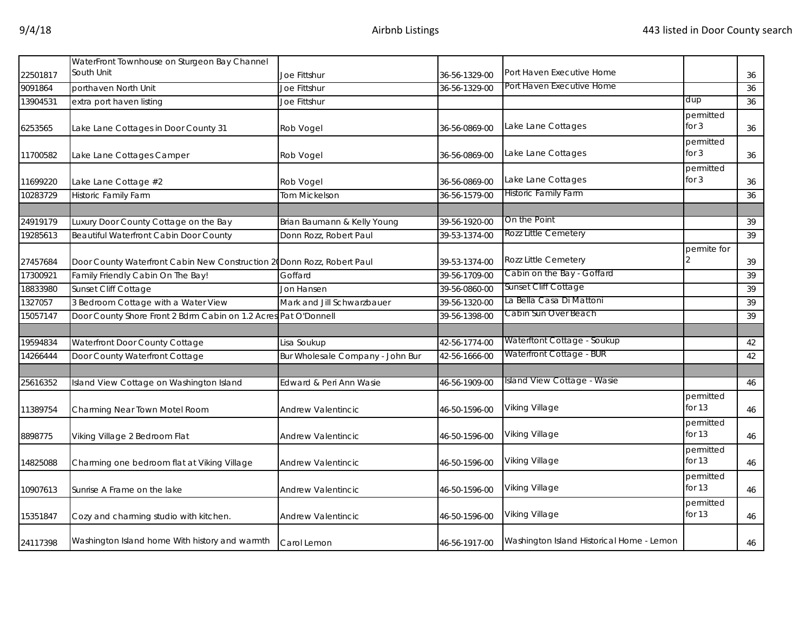| 22501817 | WaterFront Townhouse on Sturgeon Bay Channel<br>South Unit              |                                  | 36-56-1329-00 | Port Haven Executive Home                 |                       |          |
|----------|-------------------------------------------------------------------------|----------------------------------|---------------|-------------------------------------------|-----------------------|----------|
| 9091864  | porthaven North Unit                                                    | Joe Fittshur<br>Joe Fittshur     | 36-56-1329-00 | Port Haven Executive Home                 |                       | 36<br>36 |
| 13904531 | extra port haven listing                                                | Joe Fittshur                     |               |                                           | dup                   | 36       |
|          |                                                                         |                                  |               |                                           | permitted             |          |
| 6253565  | Lake Lane Cottages in Door County 31                                    | Rob Vogel                        | 36-56-0869-00 | Lake Lane Cottages                        | for $3$               | 36       |
| 11700582 | Lake Lane Cottages Camper                                               | Rob Vogel                        | 36-56-0869-00 | Lake Lane Cottages                        | permitted<br>for $3$  | 36       |
| 11699220 | Lake Lane Cottage #2                                                    | Rob Vogel                        | 36-56-0869-00 | Lake Lane Cottages                        | permitted<br>for 3    | 36       |
| 10283729 | <b>Historic Family Farm</b>                                             | Tom Mickelson                    | 36-56-1579-00 | Historic Family Farm                      |                       | 36       |
|          |                                                                         |                                  |               |                                           |                       |          |
| 24919179 | Luxury Door County Cottage on the Bay                                   | Brian Baumann & Kelly Young      | 39-56-1920-00 | On the Point                              |                       | 39       |
| 19285613 | <b>Beautiful Waterfront Cabin Door County</b>                           | Donn Rozz, Robert Paul           | 39-53-1374-00 | Rozz Little Cemetery                      |                       | 39       |
| 27457684 | Door County Waterfront Cabin New Construction 20 Donn Rozz, Robert Paul |                                  | 39-53-1374-00 | Rozz Little Cemetery                      | permite for           | 39       |
| 17300921 | Family Friendly Cabin On The Bay!                                       | Goffard                          | 39-56-1709-00 | Cabin on the Bay - Goffard                |                       | 39       |
| 18833980 | Sunset Cliff Cottage                                                    | Jon Hansen                       | 39-56-0860-00 | Sunset Cliff Cottage                      |                       | 39       |
| 1327057  | 3 Bedroom Cottage with a Water View                                     | Mark and Jill Schwarzbauer       | 39-56-1320-00 | La Bella Casa Di Mattoni                  |                       | 39       |
| 15057147 | Door County Shore Front 2 Bdrm Cabin on 1.2 Acres Pat O'Donnell         |                                  | 39-56-1398-00 | Cabin Sun Over Beach                      |                       | 39       |
|          |                                                                         |                                  |               |                                           |                       |          |
| 19594834 | Waterfront Door County Cottage                                          | Lisa Soukup                      | 42-56-1774-00 | Waterftont Cottage - Soukup               |                       | 42       |
| 14266444 | Door County Waterfront Cottage                                          | Bur Wholesale Company - John Bur | 42-56-1666-00 | Waterfront Cottage - BUR                  |                       | 42       |
|          |                                                                         |                                  |               |                                           |                       |          |
| 25616352 | Island View Cottage on Washington Island                                | Edward & Peri Ann Wasie          | 46-56-1909-00 | Island View Cottage - Wasie               |                       | 46       |
| 11389754 | Charming Near Town Motel Room                                           | Andrew Valentincic               | 46-50-1596-00 | Viking Village                            | permitted<br>for 13   | 46       |
| 8898775  | Viking Village 2 Bedroom Flat                                           | Andrew Valentincic               | 46-50-1596-00 | Viking Village                            | permitted<br>for $13$ | 46       |
| 14825088 | Charming one bedroom flat at Viking Village                             | Andrew Valentincic               | 46-50-1596-00 | <b>Viking Village</b>                     | permitted<br>for 13   | 46       |
| 10907613 | Sunrise A Frame on the lake                                             | Andrew Valentincic               | 46-50-1596-00 | Viking Village                            | permitted<br>for $13$ | 46       |
| 15351847 | Cozy and charming studio with kitchen.                                  | Andrew Valentincic               | 46-50-1596-00 | Viking Village                            | permitted<br>for 13   | 46       |
| 24117398 | Washington Island home With history and warmth                          | Carol Lemon                      | 46-56-1917-00 | Washington Island Historical Home - Lemon |                       | 46       |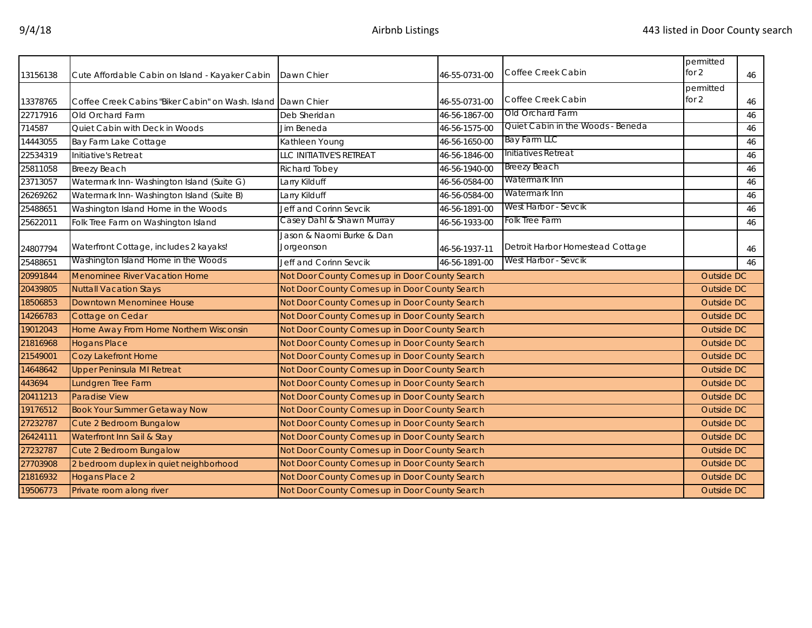| 13156138 | Cute Affordable Cabin on Island - Kayaker Cabin              | Dawn Chier                                     | 46-55-0731-00 | Coffee Creek Cabin                | permitted<br>for $2$ | 46 |
|----------|--------------------------------------------------------------|------------------------------------------------|---------------|-----------------------------------|----------------------|----|
|          |                                                              |                                                |               |                                   | permitted            |    |
| 13378765 | Coffee Creek Cabins "Biker Cabin" on Wash. Island Dawn Chier |                                                | 46-55-0731-00 | Coffee Creek Cabin                | for $2$              | 46 |
| 22717916 | Old Orchard Farm                                             | Deb Sheridan                                   | 46-56-1867-00 | Old Orchard Farm                  |                      | 46 |
| 714587   | Quiet Cabin with Deck in Woods                               | Jim Beneda                                     | 46-56-1575-00 | Quiet Cabin in the Woods - Beneda |                      | 46 |
| 14443055 | Bay Farm Lake Cottage                                        | Kathleen Young                                 | 46-56-1650-00 | Bay Farm LLC                      |                      | 46 |
| 22534319 | Initiative's Retreat                                         | LLC INITIATIVE'S RETREAT                       | 46-56-1846-00 | Initiatives Retreat               |                      | 46 |
| 25811058 | <b>Breezy Beach</b>                                          | Richard Tobey                                  | 46-56-1940-00 | <b>Breezy Beach</b>               |                      | 46 |
| 23713057 | Watermark Inn-Washington Island (Suite G)                    | Larry Kilduff                                  | 46-56-0584-00 | Watermark Inn                     |                      | 46 |
| 26269262 | Watermark Inn-Washington Island (Suite B)                    | Larry Kilduff                                  | 46-56-0584-00 | Watermark Inn                     |                      | 46 |
| 25488651 | Washington Island Home in the Woods                          | Jeff and Corinn Sevcik                         | 46-56-1891-00 | West Harbor - Sevcik              |                      | 46 |
| 25622011 | Folk Tree Farm on Washington Island                          | Casey Dahl & Shawn Murray                      | 46-56-1933-00 | Folk Tree Farm                    |                      | 46 |
|          |                                                              | Jason & Naomi Burke & Dan                      |               |                                   |                      |    |
| 24807794 | Waterfront Cottage, includes 2 kayaks!                       | Jorgeonson                                     | 46-56-1937-11 | Detroit Harbor Homestead Cottage  |                      | 46 |
| 25488651 | Washington Island Home in the Woods                          | Jeff and Corinn Sevcik                         | 46-56-1891-00 | West Harbor - Sevcik              |                      | 46 |
| 20991844 | <b>Menominee River Vacation Home</b>                         | Not Door County Comes up in Door County Search |               |                                   | Outside DC           |    |
| 20439805 | <b>Nuttall Vacation Stays</b>                                | Not Door County Comes up in Door County Search |               |                                   | Outside DC           |    |
| 18506853 | Downtown Menominee House                                     | Not Door County Comes up in Door County Search |               |                                   | Outside DC           |    |
| 14266783 | Cottage on Cedar                                             | Not Door County Comes up in Door County Search |               |                                   | Outside DC           |    |
| 19012043 | Home Away From Home Northern Wisconsin                       | Not Door County Comes up in Door County Search |               |                                   | Outside DC           |    |
| 21816968 | <b>Hogans Place</b>                                          | Not Door County Comes up in Door County Search |               |                                   | Outside DC           |    |
| 21549001 | Cozy Lakefront Home                                          | Not Door County Comes up in Door County Search |               |                                   | Outside DC           |    |
| 14648642 | <b>Upper Peninsula MI Retreat</b>                            | Not Door County Comes up in Door County Search |               |                                   | Outside DC           |    |
| 443694   | Lundgren Tree Farm                                           | Not Door County Comes up in Door County Search |               |                                   | <b>Outside DC</b>    |    |
| 20411213 | Paradise View                                                | Not Door County Comes up in Door County Search |               |                                   | Outside DC           |    |
| 19176512 | <b>Book Your Summer Getaway Now</b>                          | Not Door County Comes up in Door County Search |               |                                   | <b>Outside DC</b>    |    |
| 27232787 | Cute 2 Bedroom Bungalow                                      | Not Door County Comes up in Door County Search |               |                                   | Outside DC           |    |
| 26424111 | Waterfront Inn Sail & Stay                                   | Not Door County Comes up in Door County Search |               |                                   | Outside DC           |    |
| 27232787 | Cute 2 Bedroom Bungalow                                      | Not Door County Comes up in Door County Search |               |                                   | Outside DC           |    |
| 27703908 | 2 bedroom duplex in quiet neighborhood                       | Not Door County Comes up in Door County Search |               |                                   | Outside DC           |    |
| 21816932 | Hogans Place 2                                               | Not Door County Comes up in Door County Search |               |                                   | Outside DC           |    |
| 19506773 | Private room along river                                     | Not Door County Comes up in Door County Search |               |                                   | Outside DC           |    |